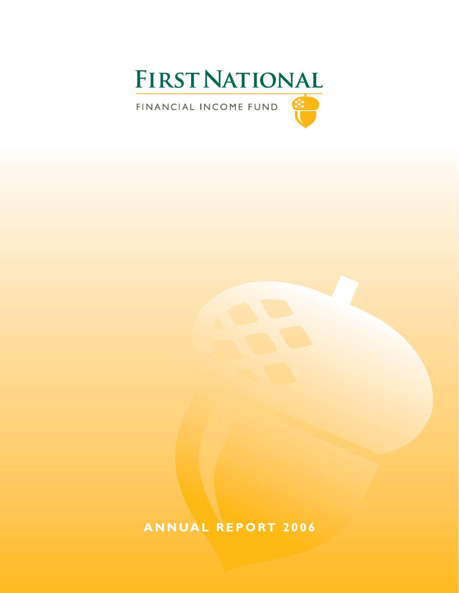

**A N N UA L R E P O RT 2 0 0 6**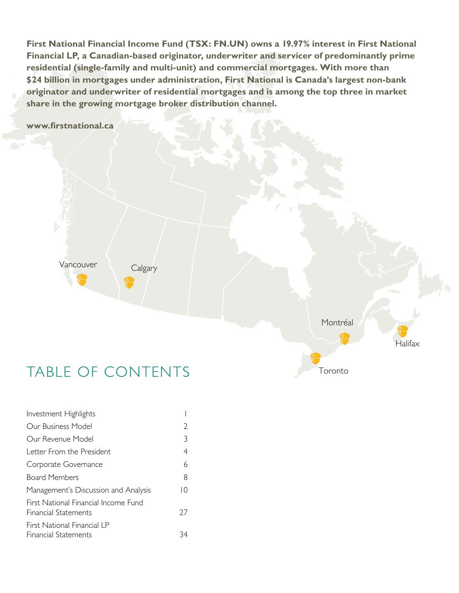**First National Financial Income Fund (TSX: FN.UN) owns a 19.97% interest in First National Financial LP, a Canadian-based originator, underwriter and servicer of predominantly prime residential (single-family and multi-unit) and commercial mortgages. With more than \$24 billion in mortgages under administration, First National is Canada's largest non-bank originator and underwriter of residential mortgages and is among the top three in market share in the growing mortgage broker distribution channel.**



| Investment Highlights                                               |                 |
|---------------------------------------------------------------------|-----------------|
| Our Business Model                                                  | C.              |
| Our Revenue Model                                                   | 3               |
| Letter From the President                                           | 4               |
| Corporate Governance                                                | 6               |
| <b>Board Members</b>                                                | 8               |
| Management's Discussion and Analysis                                | $\overline{10}$ |
| First National Financial Income Fund<br><b>Financial Statements</b> | 27              |
| First National Financial LP<br><b>Financial Statements</b>          | -34             |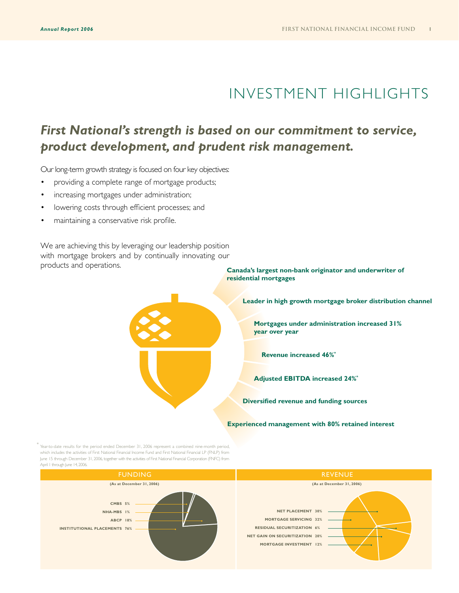## INVESTMENT HIGHLIGHTS

## *First National's strength is based on our commitment to service, product development, and prudent risk management.*

Our long-term growth strategy is focused on four key objectives:

- providing a complete range of mortgage products; •
- increasing mortgages under administration; •
- lowering costs through efficient processes; and •
- maintaining a conservative risk profile. •

We are achieving this by leveraging our leadership position with mortgage brokers and by continually innovating our products and operations.



Year-to-date results for the period ended December 31, 2006 represent a combined nine-month period, which includes the activities of First National Financial Income Fund and First National Financial LP (FNLP) from June 15 through December 31, 2006, together with the activities of First National Financial Corporation (FNFC) from April 1 through June 14, 2006.

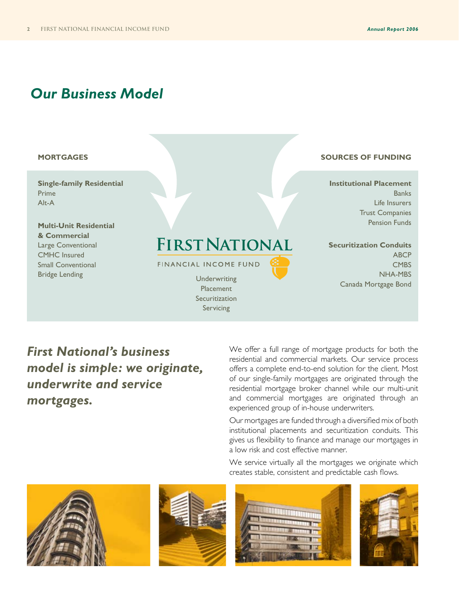## *Our Business Model*

## **MORTGAGES**

**Single-family Residential** Prime Alt-A

**Multi-Unit Residential & Commercial**  Large Conventional CMHC Insured Small Conventional Bridge Lending The Communication of the Underwriting

# **FIRST NATIONAL**

FINANCIAL INCOME FUND

Placement Securitization Servicing

**SOURCES OF FUNDING**

**Institutional Placement** Banks Life Insurers Trust Companies Pension Funds

**Securitization Conduits** ABCP **CMBS** NHA-MBS Canada Mortgage Bond

*First National's business model is simple: we originate, underwrite and service mortgages.* 

We offer a full range of mortgage products for both the residential and commercial markets. Our service process offers a complete end-to-end solution for the client. Most of our single-family mortgages are originated through the residential mortgage broker channel while our multi-unit and commercial mortgages are originated through an experienced group of in-house underwriters.

Our mortgages are funded through a diversified mix of both institutional placements and securitization conduits. This gives us flexibility to finance and manage our mortgages in a low risk and cost effective manner.

We service virtually all the mortgages we originate which creates stable, consistent and predictable cash flows.







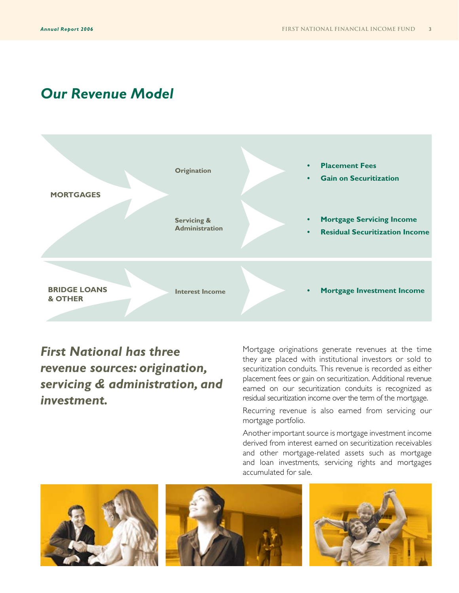## *Our Revenue Model*



*First National has three revenue sources: origination, servicing & administration, and investment.* 

Mortgage originations generate revenues at the time they are placed with institutional investors or sold to securitization conduits. This revenue is recorded as either placement fees or gain on securitization. Additional revenue earned on our securitization conduits is recognized as residual securitization income over the term of the mortgage.

Recurring revenue is also earned from servicing our mortgage portfolio.

Another important source is mortgage investment income derived from interest earned on securitization receivables and other mortgage-related assets such as mortgage and loan investments, servicing rights and mortgages accumulated for sale.

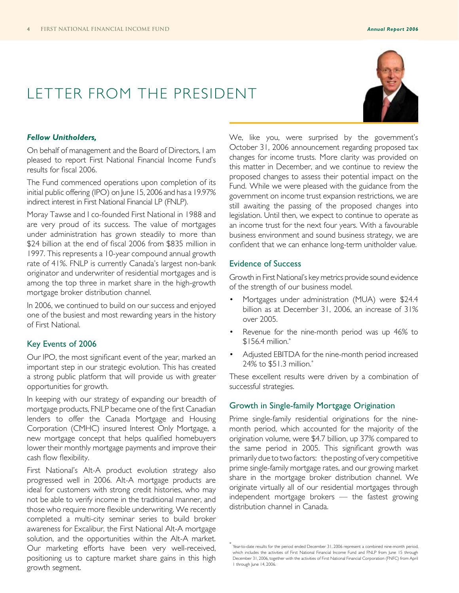# LETTER FROM THE PRESIDENT



### *Fellow Unitholders,*

On behalf of management and the Board of Directors, I am pleased to report First National Financial Income Fund's results for fiscal 2006.

The Fund commenced operations upon completion of its initial public offering (IPO) on June 15, 2006 and has a 19.97% indirect interest in First National Financial LP (FNLP).

Moray Tawse and I co-founded First National in 1988 and are very proud of its success. The value of mortgages under administration has grown steadily to more than \$24 billion at the end of fiscal 2006 from \$835 million in 1997. This represents a 10-year compound annual growth rate of 41%. FNLP is currently Canada's largest non-bank originator and underwriter of residential mortgages and is among the top three in market share in the high-growth mortgage broker distribution channel.

In 2006, we continued to build on our success and enjoyed one of the busiest and most rewarding years in the history of First National.

## Key Events of 2006

Our IPO, the most significant event of the year, marked an important step in our strategic evolution. This has created a strong public platform that will provide us with greater opportunities for growth.

In keeping with our strategy of expanding our breadth of mortgage products, FNLP became one of the first Canadian lenders to offer the Canada Mortgage and Housing Corporation (CMHC) insured Interest Only Mortgage, a new mortgage concept that helps qualified homebuyers lower their monthly mortgage payments and improve their cash flow flexibility.

First National's Alt-A product evolution strategy also progressed well in 2006. Alt-A mortgage products are ideal for customers with strong credit histories, who may not be able to verify income in the traditional manner, and those who require more flexible underwriting. We recently completed a multi-city seminar series to build broker awareness for Excalibur, the First National Alt-A mortgage solution, and the opportunities within the Alt-A market. Our marketing efforts have been very well-received, positioning us to capture market share gains in this high growth segment.

We, like you, were surprised by the government's October 31, 2006 announcement regarding proposed tax changes for income trusts. More clarity was provided on this matter in December, and we continue to review the proposed changes to assess their potential impact on the Fund. While we were pleased with the guidance from the government on income trust expansion restrictions, we are still awaiting the passing of the proposed changes into legislation. Until then, we expect to continue to operate as an income trust for the next four years. With a favourable business environment and sound business strategy, we are confident that we can enhance long-term unitholder value.

## Evidence of Success

Growth in First National's key metrics provide sound evidence of the strength of our business model.

- Mortgages under administration (MUA) were \$24.4 billion as at December 31, 2006, an increase of 31% over 2005. •
- Revenue for the nine-month period was up 46% to \$156.4 million.\* •
- Adjusted EBITDA for the nine-month period increased 24% to \$51.3 million.\* •

These excellent results were driven by a combination of successful strategies.

## Growth in Single-family Mortgage Origination

Prime single-family residential originations for the ninemonth period, which accounted for the majority of the origination volume, were \$4.7 billion, up 37% compared to the same period in 2005. This significant growth was primarily due to two factors: the posting of very competitive prime single-family mortgage rates, and our growing market share in the mortgage broker distribution channel. We originate virtually all of our residential mortgages through independent mortgage brokers — the fastest growing distribution channel in Canada.

Year-to-date results for the period ended December 31, 2006 represent a combined nine-month period, which includes the activities of First National Financial Income Fund and FNLP from June 15 through December 31, 2006, together with the activities of First National Financial Corporation (FNFC) from April 1 through June 14, 2006.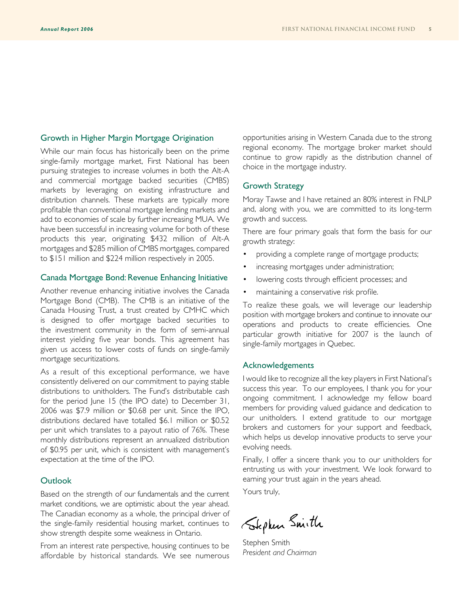### Growth in Higher Margin Mortgage Origination

While our main focus has historically been on the prime single-family mortgage market, First National has been pursuing strategies to increase volumes in both the Alt-A and commercial mortgage backed securities (CMBS) markets by leveraging on existing infrastructure and distribution channels. These markets are typically more profitable than conventional mortgage lending markets and add to economies of scale by further increasing MUA. We have been successful in increasing volume for both of these products this year, originating \$432 million of Alt-A mortgages and \$285 million of CMBS mortgages, compared to \$151 million and \$224 million respectively in 2005.

## Canada Mortgage Bond: Revenue Enhancing Initiative

Another revenue enhancing initiative involves the Canada Mortgage Bond (CMB). The CMB is an initiative of the Canada Housing Trust, a trust created by CMHC which is designed to offer mortgage backed securities to the investment community in the form of semi-annual interest yielding five year bonds. This agreement has given us access to lower costs of funds on single-family mortgage securitizations.

As a result of this exceptional performance, we have consistently delivered on our commitment to paying stable distributions to unitholders. The Fund's distributable cash for the period June 15 (the IPO date) to December 31, 2006 was \$7.9 million or \$0.68 per unit. Since the IPO, distributions declared have totalled \$6.1 million or \$0.52 per unit which translates to a payout ratio of 76%. These monthly distributions represent an annualized distribution of \$0.95 per unit, which is consistent with management's expectation at the time of the IPO.

### **Outlook**

Based on the strength of our fundamentals and the current market conditions, we are optimistic about the year ahead. The Canadian economy as a whole, the principal driver of the single-family residential housing market, continues to show strength despite some weakness in Ontario.

From an interest rate perspective, housing continues to be affordable by historical standards. We see numerous opportunities arising in Western Canada due to the strong regional economy. The mortgage broker market should continue to grow rapidly as the distribution channel of choice in the mortgage industry.

## Growth Strategy

Moray Tawse and I have retained an 80% interest in FNLP and, along with you, we are committed to its long-term growth and success.

There are four primary goals that form the basis for our growth strategy:

- providing a complete range of mortgage products; •
- increasing mortgages under administration; •
- lowering costs through efficient processes; and •
- maintaining a conservative risk profile. •

To realize these goals, we will leverage our leadership position with mortgage brokers and continue to innovate our operations and products to create efficiencies. One particular growth initiative for 2007 is the launch of single-family mortgages in Quebec.

### Acknowledgements

I would like to recognize all the key players in First National's success this year. To our employees, I thank you for your ongoing commitment. I acknowledge my fellow board members for providing valued guidance and dedication to our unitholders. I extend gratitude to our mortgage brokers and customers for your support and feedback, which helps us develop innovative products to serve your evolving needs.

Finally, I offer a sincere thank you to our unitholders for entrusting us with your investment. We look forward to earning your trust again in the years ahead.

Yours truly,

Stephen Smith

Stephen Smith *President and Chairman*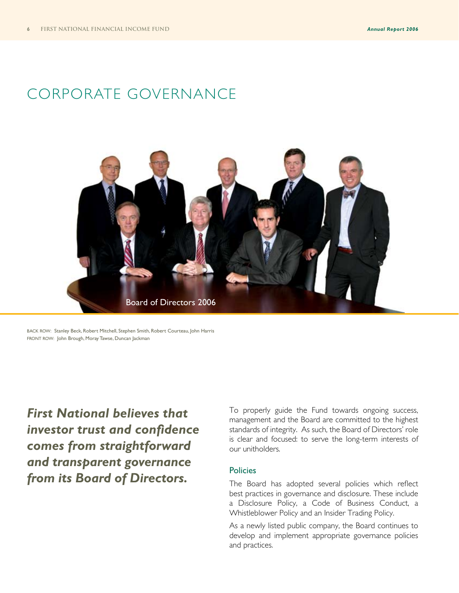## CORPORATE GOVERNANCE



BACK ROW: Stanley Beck, Robert Mitchell, Stephen Smith, Robert Courteau, John Harris FRONT ROW: John Brough, Moray Tawse, Duncan Jackman

*First National believes that investor trust and confidence comes from straightforward and transparent governance from its Board of Directors.*

To properly guide the Fund towards ongoing success, management and the Board are committed to the highest standards of integrity. As such, the Board of Directors' role is clear and focused: to serve the long-term interests of our unitholders.

## Policies

The Board has adopted several policies which reflect best practices in governance and disclosure. These include a Disclosure Policy, a Code of Business Conduct, a Whistleblower Policy and an Insider Trading Policy.

As a newly listed public company, the Board continues to develop and implement appropriate governance policies and practices.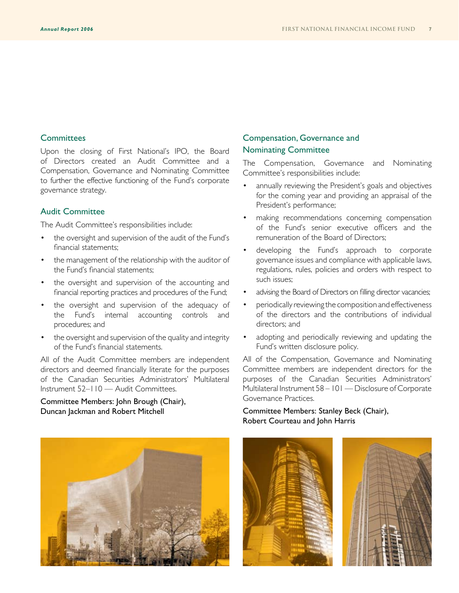## **Committees**

Upon the closing of First National's IPO, the Board of Directors created an Audit Committee and a Compensation, Governance and Nominating Committee to further the effective functioning of the Fund's corporate governance strategy.

## Audit Committee

The Audit Committee's responsibilities include:

- the oversight and supervision of the audit of the Fund's financial statements; •
- the management of the relationship with the auditor of the Fund's financial statements; •
- the oversight and supervision of the accounting and financial reporting practices and procedures of the Fund; •
- the oversight and supervision of the adequacy of the Fund's internal accounting controls and procedures; and •
- the oversight and supervision of the quality and integrity of the Fund's financial statements.

All of the Audit Committee members are independent directors and deemed financially literate for the purposes of the Canadian Securities Administrators' Multilateral Instrument 52–110 — Audit Committees.

## Committee Members: John Brough (Chair), Duncan Jackman and Robert Mitchell



## Compensation, Governance and Nominating Committee

The Compensation, Governance and Nominating Committee's responsibilities include:

- annually reviewing the President's goals and objectives for the coming year and providing an appraisal of the President's performance; •
- making recommendations concerning compensation of the Fund's senior executive officers and the remuneration of the Board of Directors; •
- developing the Fund's approach to corporate governance issues and compliance with applicable laws, regulations, rules, policies and orders with respect to such issues; •
- advising the Board of Directors on filling director vacancies; •
- periodically reviewing the composition and effectiveness of the directors and the contributions of individual directors; and •
- adopting and periodically reviewing and updating the Fund's written disclosure policy. •

All of the Compensation, Governance and Nominating Committee members are independent directors for the purposes of the Canadian Securities Administrators' Multilateral Instrument 58 – 101 — Disclosure of Corporate Governance Practices.

Committee Members: Stanley Beck (Chair), Robert Courteau and John Harris



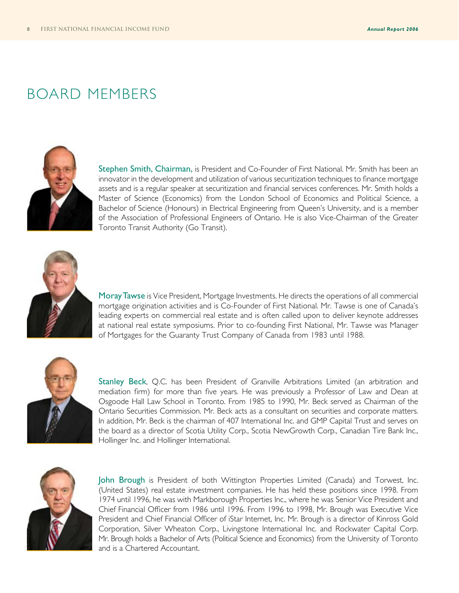## BOARD MEMBERS



Stephen Smith, Chairman, is President and Co-Founder of First National. Mr. Smith has been an innovator in the development and utilization of various securitization techniques to finance mortgage assets and is a regular speaker at securitization and financial services conferences. Mr. Smith holds a Master of Science (Economics) from the London School of Economics and Political Science, a Bachelor of Science (Honours) in Electrical Engineering from Queen's University, and is a member of the Association of Professional Engineers of Ontario. He is also Vice-Chairman of the Greater Toronto Transit Authority (Go Transit).



Moray Tawse is Vice President, Mortgage Investments. He directs the operations of all commercial mortgage origination activities and is Co-Founder of First National. Mr. Tawse is one of Canada's leading experts on commercial real estate and is often called upon to deliver keynote addresses at national real estate symposiums. Prior to co-founding First National, Mr. Tawse was Manager of Mortgages for the Guaranty Trust Company of Canada from 1983 until 1988.



Stanley Beck, Q.C. has been President of Granville Arbitrations Limited (an arbitration and mediation firm) for more than five years. He was previously a Professor of Law and Dean at Osgoode Hall Law School in Toronto. From 1985 to 1990, Mr. Beck served as Chairman of the Ontario Securities Commission. Mr. Beck acts as a consultant on securities and corporate matters. In addition, Mr. Beck is the chairman of 407 International Inc. and GMP Capital Trust and serves on the board as a director of Scotia Utility Corp., Scotia NewGrowth Corp., Canadian Tire Bank Inc., Hollinger Inc. and Hollinger International.



John Brough is President of both Wittington Properties Limited (Canada) and Torwest, Inc. (United States) real estate investment companies. He has held these positions since 1998. From 1974 until 1996, he was with Markborough Properties Inc., where he was Senior Vice President and Chief Financial Officer from 1986 until 1996. From 1996 to 1998, Mr. Brough was Executive Vice President and Chief Financial Officer of iStar Internet, Inc. Mr. Brough is a director of Kinross Gold Corporation, Silver Wheaton Corp., Livingstone International Inc. and Rockwater Capital Corp. Mr. Brough holds a Bachelor of Arts (Political Science and Economics) from the University of Toronto and is a Chartered Accountant.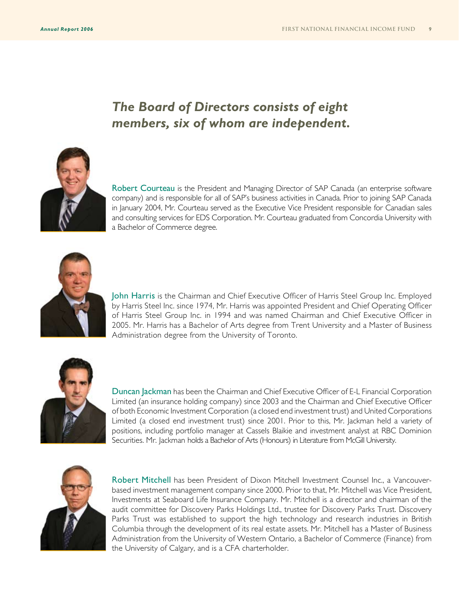## *The Board of Directors consists of eight members, six of whom are independent.*



Robert Courteau is the President and Managing Director of SAP Canada (an enterprise software company) and is responsible for all of SAP's business activities in Canada. Prior to joining SAP Canada in January 2004, Mr. Courteau served as the Executive Vice President responsible for Canadian sales and consulting services for EDS Corporation. Mr. Courteau graduated from Concordia University with a Bachelor of Commerce degree.



John Harris is the Chairman and Chief Executive Officer of Harris Steel Group Inc. Employed by Harris Steel Inc. since 1974, Mr. Harris was appointed President and Chief Operating Officer of Harris Steel Group Inc. in 1994 and was named Chairman and Chief Executive Officer in 2005. Mr. Harris has a Bachelor of Arts degree from Trent University and a Master of Business Administration degree from the University of Toronto.



Duncan Jackman has been the Chairman and Chief Executive Officer of E-L Financial Corporation Limited (an insurance holding company) since 2003 and the Chairman and Chief Executive Officer of both Economic Investment Corporation (a closed end investment trust) and United Corporations Limited (a closed end investment trust) since 2001. Prior to this, Mr. Jackman held a variety of positions, including portfolio manager at Cassels Blaikie and investment analyst at RBC Dominion Securities. Mr. Jackman holds a Bachelor of Arts (Honours) in Literature from McGill University.



Robert Mitchell has been President of Dixon Mitchell Investment Counsel Inc., a Vancouverbased investment management company since 2000. Prior to that, Mr. Mitchell was Vice President, Investments at Seaboard Life Insurance Company. Mr. Mitchell is a director and chairman of the audit committee for Discovery Parks Holdings Ltd., trustee for Discovery Parks Trust. Discovery Parks Trust was established to support the high technology and research industries in British Columbia through the development of its real estate assets. Mr. Mitchell has a Master of Business Administration from the University of Western Ontario, a Bachelor of Commerce (Finance) from the University of Calgary, and is a CFA charterholder.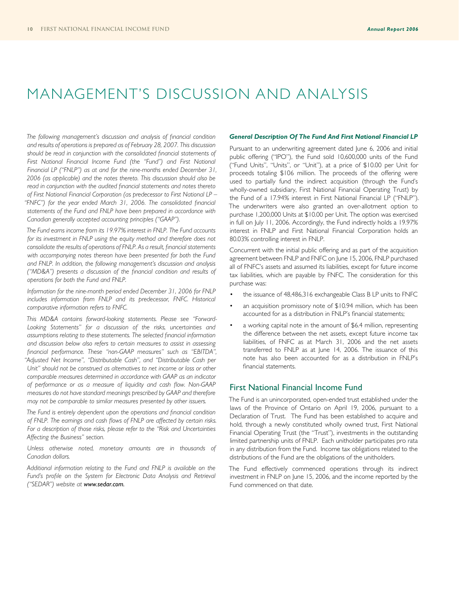## MANAGEMENT'S DISCUSSION AND ANALYSIS

*The following management's discussion and analysis of financial condition and results of operations is prepared as of February 28, 2007. This discussion should be read in conjunction with the consolidated financial statements of First National Financial Income Fund (the "Fund") and First National Financial LP ("FNLP") as at and for the nine-months ended December 31, 2006 (as applicable) and the notes thereto. This discussion should also be read in conjunction with the audited financial statements and notes thereto of First National Financial Corporation (as predecessor to First National LP –*  "FNFC") for the year ended March 31, 2006. The consolidated financial *statements of the Fund and FNLP have been prepared in accordance with Canadian generally accepted accounting principles ("GAAP").*

*The Fund earns income from its 19.97% interest in FNLP. The Fund accounts for its investment in FNLP using the equity method and therefore does not consolidate the results of operations of FNLP. As a result, financial statements with accompanying notes thereon have been presented for both the Fund and FNLP. In addition, the following management's discussion and analysis ("MD&A") presents a discussion of the financial condition and results of operations for both the Fund and FNLP.*

*Information for the nine-month period ended December 31, 2006 for FNLP includes information from FNLP and its predecessor, FNFC. Historical comparative information refers to FNFC.*

*This MD&A contains forward-looking statements. Please see "Forward-Looking Statements" for a discussion of the risks, uncertainties and assumptions relating to these statements. The selected financial information and discussion below also refers to certain measures to assist in assessing financial performance. These "non-GAAP measures" such as "EBITDA", "Adjusted Net Income", "Distributable Cash", and "Distributable Cash per Unit" should not be construed as alternatives to net income or loss or other comparable measures determined in accordance with GAAP as an indicator of performance or as a measure of liquidity and cash flow. Non-GAAP measures do not have standard meanings prescribed by GAAP and therefore may not be comparable to similar measures presented by other issuers.*

*The Fund is entirely dependent upon the operations and financial condition of FNLP. The earnings and cash flows of FNLP are affected by certain risks. For a description of those risks, please refer to the "Risk and Uncertainties Affecting the Business" section.*

*Unless otherwise noted, monetary amounts are in thousands of Canadian dollars.*

*Additional information relating to the Fund and FNLP is available on the*  Fund's profile on the System for Electronic Data Analysis and Retrieval *("SEDAR") website at www.sedar.com.*

#### *General Description Of The Fund And First National Financial LP*

Pursuant to an underwriting agreement dated June 6, 2006 and initial public offering ("IPO"), the Fund sold 10,600,000 units of the Fund ("Fund Units", "Units", or "Unit"), at a price of \$10.00 per Unit for proceeds totaling \$106 million. The proceeds of the offering were used to partially fund the indirect acquisition (through the Fund's wholly-owned subsidiary, First National Financial Operating Trust) by the Fund of a 17.94% interest in First National Financial LP ("FNLP"). The underwriters were also granted an over-allotment option to purchase 1,200,000 Units at \$10.00 per Unit. The option was exercised in full on July 11, 2006. Accordingly, the Fund indirectly holds a 19.97% interest in FNLP and First National Financial Corporation holds an 80.03% controlling interest in FNLP.

Concurrent with the initial public offering and as part of the acquisition agreement between FNLP and FNFC on June 15, 2006, FNLP purchased all of FNFC's assets and assumed its liabilities, except for future income tax liabilities, which are payable by FNFC. The consideration for this purchase was:

- the issuance of 48,486,316 exchangeable Class B LP units to FNFC •
- an acquisition promissory note of \$10.94 million, which has been accounted for as a distribution in FNLP's financial statements; •
- a working capital note in the amount of \$6.4 million, representing the difference between the net assets, except future income tax liabilities, of FNFC as at March 31, 2006 and the net assets transferred to FNLP as at June 14, 2006. The issuance of this note has also been accounted for as a distribution in FNLP's financial statements. •

## First National Financial Income Fund

The Fund is an unincorporated, open-ended trust established under the laws of the Province of Ontario on April 19, 2006, pursuant to a Declaration of Trust. The Fund has been established to acquire and hold, through a newly constituted wholly owned trust, First National Financial Operating Trust (the "Trust"), investments in the outstanding limited partnership units of FNLP. Each unitholder participates pro rata in any distribution from the Fund. Income tax obligations related to the distributions of the Fund are the obligations of the unitholders.

The Fund effectively commenced operations through its indirect investment in FNLP on June 15, 2006, and the income reported by the Fund commenced on that date.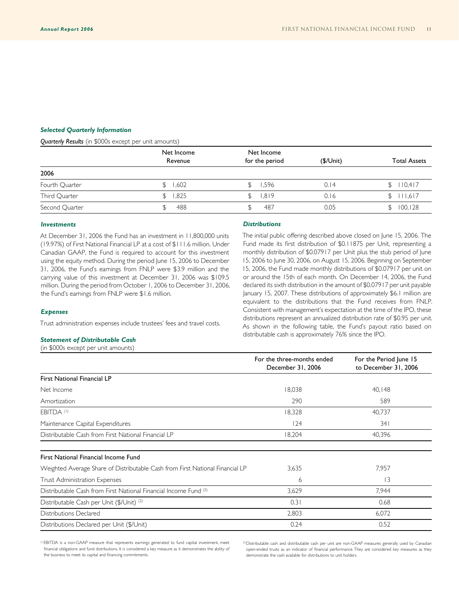#### *Selected Quarterly Information*

*Quarterly Results* (in \$000s except per unit amounts)

|                | Net Income<br>Revenue | Net Income<br>for the period | $($/U$ nit) | <b>Total Assets</b>        |
|----------------|-----------------------|------------------------------|-------------|----------------------------|
| 2006           |                       |                              |             |                            |
| Fourth Quarter | \$1,602               | 1,596<br>P.                  | 0.14        | \$110,417                  |
| Third Quarter  | \$1,825               | 1.819<br>S.                  | 0.16        | \$111,617                  |
| Second Quarter | 488                   | 487                          | 0.05        | 100, 128<br>$\mathbb{S}^-$ |

#### *Investments*

At December 31, 2006 the Fund has an investment in 11,800,000 units (19.97%) of First National Financial LP at a cost of \$111.6 million. Under Canadian GAAP, the Fund is required to account for this investment using the equity method. During the period June 15, 2006 to December 31, 2006, the Fund's earnings from FNLP were \$3.9 million and the carrying value of this investment at December 31, 2006 was \$109.5 million. During the period from October 1, 2006 to December 31, 2006, the Fund's earnings from FNLP were \$1.6 million.

#### *Distributions*

The initial public offering described above closed on June 15, 2006. The Fund made its first distribution of \$0.11875 per Unit, representing a monthly distribution of \$0.07917 per Unit plus the stub period of June 15, 2006 to June 30, 2006, on August 15, 2006. Beginning on September 15, 2006, the Fund made monthly distributions of \$0.07917 per unit on or around the 15th of each month. On December 14, 2006, the Fund declared its sixth distribution in the amount of \$0.07917 per unit payable January 15, 2007. These distributions of approximately \$6.1 million are equivalent to the distributions that the Fund receives from FNLP. Consistent with management's expectation at the time of the IPO, these distributions represent an annualized distribution rate of \$0.95 per unit. As shown in the following table, the Fund's payout ratio based on distributable cash is approximately 76% since the IPO.

#### *Expenses*

Trust administration expenses include trustees' fees and travel costs.

#### *Statement of Distributable Cash*

(in \$000s except per unit amounts)

|                                                                               | For the three-months ended<br>December 31, 2006 | For the Period June 15<br>to December 31, 2006 |
|-------------------------------------------------------------------------------|-------------------------------------------------|------------------------------------------------|
| <b>First National Financial LP</b>                                            |                                                 |                                                |
| Net Income                                                                    | 18,038                                          | 40,148                                         |
| Amortization                                                                  | 290                                             | 589                                            |
| EBITDA <sup>(I)</sup>                                                         | 18,328                                          | 40,737                                         |
| Maintenance Capital Expenditures                                              | 124                                             | 341                                            |
| Distributable Cash from First National Financial LP                           | 18,204                                          | 40,396                                         |
| First National Financial Income Fund                                          |                                                 |                                                |
| Weighted Average Share of Distributable Cash from First National Financial LP | 3,635                                           | 7,957                                          |
| Trust Administration Expenses                                                 | 6                                               | 3                                              |
| Distributable Cash from First National Financial Income Fund (2)              | 3,629                                           | 7,944                                          |
| Distributable Cash per Unit (\$/Unit) (2)                                     | 0.31                                            | 0.68                                           |
| Distributions Declared                                                        | 2,803                                           | 6,072                                          |
| Distributions Declared per Unit (\$/Unit)                                     | 0.24                                            | 0.52                                           |

(1)EBITDA is a non-GAAP measure that represents earnings generated to fund capital investment, meet financial obligations and fund distributions. It is considered a key measure as it demonstrates the ability of the business to meet its capital and financing commitments.

(2) Distributable cash and distributable cash per unit are non-GAAP measures generally used by Canadian open-ended trusts as an indicator of financial performance. They are considered key measures as they demonstrate the cash available for distributions to unit holders.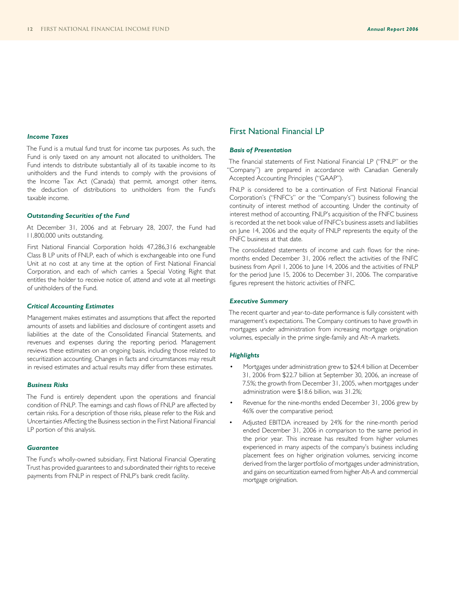#### *Income Taxes*

The Fund is a mutual fund trust for income tax purposes. As such, the Fund is only taxed on any amount not allocated to unitholders. The Fund intends to distribute substantially all of its taxable income to its unitholders and the Fund intends to comply with the provisions of the Income Tax Act (Canada) that permit, amongst other items, the deduction of distributions to unitholders from the Fund's taxable income.

#### *Outstanding Securities of the Fund*

At December 31, 2006 and at February 28, 2007, the Fund had 11,800,000 units outstanding.

First National Financial Corporation holds 47,286,316 exchangeable Class B LP units of FNLP, each of which is exchangeable into one Fund Unit at no cost at any time at the option of First National Financial Corporation, and each of which carries a Special Voting Right that entitles the holder to receive notice of, attend and vote at all meetings of unitholders of the Fund.

#### *Critical Accounting Estimates*

Management makes estimates and assumptions that affect the reported amounts of assets and liabilities and disclosure of contingent assets and liabilities at the date of the Consolidated Financial Statements, and revenues and expenses during the reporting period. Management reviews these estimates on an ongoing basis, including those related to securitization accounting. Changes in facts and circumstances may result in revised estimates and actual results may differ from these estimates.

#### *Business Risks*

The Fund is entirely dependent upon the operations and financial condition of FNLP. The earnings and cash flows of FNLP are affected by certain risks. For a description of those risks, please refer to the Risk and Uncertainties Affecting the Business section in the First National Financial LP portion of this analysis.

#### *Guarantee*

The Fund's wholly-owned subsidiary, First National Financial Operating Trust has provided guarantees to and subordinated their rights to receive payments from FNLP in respect of FNLP's bank credit facility.

## First National Financial LP

#### *Basis of Presentation*

The financial statements of First National Financial LP ("FNLP" or the "Company") are prepared in accordance with Canadian Generally Accepted Accounting Principles ("GAAP").

FNLP is considered to be a continuation of First National Financial Corporation's ("FNFC's" or the "Company's") business following the continuity of interest method of accounting. Under the continuity of interest method of accounting, FNLP's acquisition of the FNFC business is recorded at the net book value of FNFC's business assets and liabilities on June 14, 2006 and the equity of FNLP represents the equity of the FNFC business at that date.

The consolidated statements of income and cash flows for the ninemonths ended December 31, 2006 reflect the activities of the FNFC business from April 1, 2006 to June 14, 2006 and the activities of FNLP for the period June 15, 2006 to December 31, 2006. The comparative figures represent the historic activities of FNFC.

#### *Executive Summary*

The recent quarter and year-to-date performance is fully consistent with management's expectations. The Company continues to have growth in mortgages under administration from increasing mortgage origination volumes, especially in the prime single-family and Alt–A markets.

#### *Highlights*

- Mortgages under administration grew to \$24.4 billion at December 31, 2006 from \$22.7 billion at September 30, 2006, an increase of 7.5%; the growth from December 31, 2005, when mortgages under administration were \$18.6 billion, was 31.2%; •
- Revenue for the nine-months ended December 31, 2006 grew by 46% over the comparative period; •
- Adjusted EBITDA increased by 24% for the nine-month period ended December 31, 2006 in comparison to the same period in the prior year. This increase has resulted from higher volumes experienced in many aspects of the company's business including placement fees on higher origination volumes, servicing income derived from the larger portfolio of mortgages under administration, and gains on securitization earned from higher Alt-A and commercial mortgage origination. •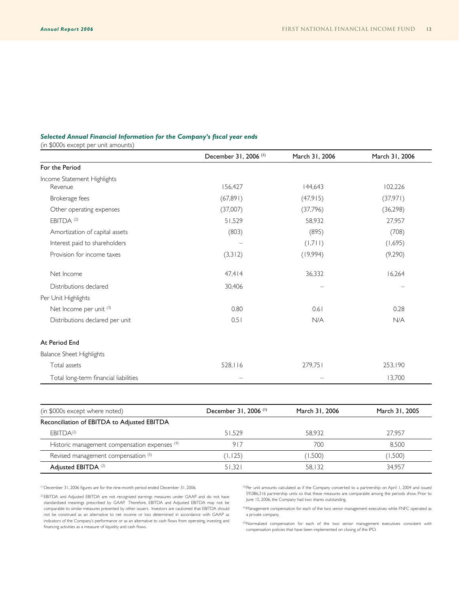### *Selected Annual Financial Information for the Company's fiscal year ends*

(in \$000s except per unit amounts)

|                                       | December 31, 2006 <sup>(1)</sup> | March 31, 2006 | March 31, 2006 |
|---------------------------------------|----------------------------------|----------------|----------------|
| For the Period                        |                                  |                |                |
| Income Statement Highlights           |                                  |                |                |
| Revenue                               | 156,427                          | 144,643        | 102,226        |
| Brokerage fees                        | (67,891)                         | (47,915)       | (37,971)       |
| Other operating expenses              | (37,007)                         | (37,796)       | (36, 298)      |
| EBITDA <sup>(2)</sup>                 | 51,529                           | 58,932         | 27,957         |
| Amortization of capital assets        | (803)                            | (895)          | (708)          |
| Interest paid to shareholders         | -                                | (1,711)        | (1,695)        |
| Provision for income taxes            | (3, 312)                         | (19,994)       | (9,290)        |
| Net Income                            | 47,414                           | 36,332         | 16,264         |
| Distributions declared                | 30,406                           |                |                |
| Per Unit Highlights                   |                                  |                |                |
| Net Income per unit (3)               | 0.80                             | 0.61           | 0.28           |
| Distributions declared per unit       | 0.51                             | N/A            | N/A            |
| At Period End                         |                                  |                |                |
| Balance Sheet Highlights              |                                  |                |                |
| Total assets                          | 528, 116                         | 279,751        | 253,190        |
| Total long-term financial liabilities |                                  |                | 13,700         |

| (in \$000s except where noted)                | December 31, 2006 (1) | March 31, 2006 | March 31, 2005 |
|-----------------------------------------------|-----------------------|----------------|----------------|
| Reconciliation of EBITDA to Adjusted EBITDA   |                       |                |                |
| FBITDA <sup>(2)</sup>                         | 51.529                | 58.932         | 27.957         |
| Historic management compensation expenses (4) | 917                   | 700            | 8.500          |
| Revised management compensation (5)           | (1,125)               | (1,500)        | (1,500)        |
| Adjusted EBITDA <sup>(2)</sup>                | 51.321                | 58.132         | 34.957         |

(1)December 31, 2006 figures are for the nine-month period ended December 31, 2006.

<sup>(3)</sup>Per unit amounts calculated as if the Company converted to a partnership on April 1, 2004 and issued 59,086,316 partnership units so that these measures are comparable among the periods show. Prior to June 15, 2006, the Company had two shares outstanding.

(2)EBITDA and Adjusted EBITDA are not recognized earnings measures under GAAP and do not have standardized meanings prescribed by GAAP. Therefore, EBITDA and Adjusted EBITDA may not be comparable to similar measures presented by other issuers. Investors are cautioned that EBITDA should not be construed as an alternative to net income or loss determined in accordance with GAAP as indicators of the Company's performance or as an alternative to cash flows from operating, investing and financing activities as a measure of liquidity and cash flows.

(4)Management compensation for each of the two senior management executives while FNFC operated as a private company.

<sup>(5)</sup>Normalized compensation for each of the two senior management executives consistent with compensation policies that have been implemented on closing of the IPO.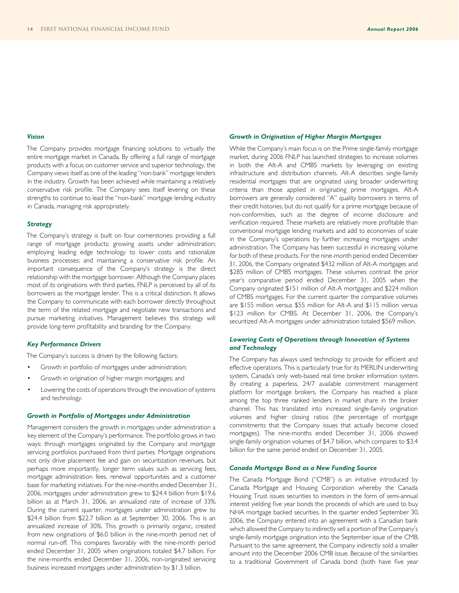#### *Vision*

The Company provides mortgage financing solutions to virtually the entire mortgage market in Canada. By offering a full range of mortgage products with a focus on customer service and superior technology, the Company views itself as one of the leading "non-bank" mortgage lenders in the industry. Growth has been achieved while maintaining a relatively conservative risk profile. The Company sees itself levering on these strengths to continue to lead the "non-bank" mortgage lending industry in Canada, managing risk appropriately.

#### *Strategy*

The Company's strategy is built on four cornerstones: providing a full range of mortgage products; growing assets under administration; employing leading edge technology to lower costs and rationalize business processes; and maintaining a conservative risk profile. An important consequence of the Company's strategy is the direct relationship with the mortgage borrower. Although the Company places most of its originations with third parties, FNLP is perceived by all of its borrowers as the mortgage lender. This is a critical distinction. It allows the Company to communicate with each borrower directly throughout the term of the related mortgage and negotiate new transactions and pursue marketing initiatives. Management believes this strategy will provide long-term profitability and branding for the Company.

#### *Key Performance Drivers*

The Company's success is driven by the following factors:

- Growth in portfolio of mortgages under administration; •
- Growth in origination of higher margin mortgages; and •
- Lowering the costs of operations through the innovation of systems and technology. •

#### *Growth in Portfolio of Mortgages under Administration*

Management considers the growth in mortgages under administration a key element of the Company's performance. The portfolio grows in two ways: through mortgages originated by the Company and mortgage servicing portfolios purchased from third parties. Mortgage originations not only drive placement fee and gain on securitization revenues, but perhaps more importantly, longer term values such as servicing fees, mortgage administration fees, renewal opportunities and a customer base for marketing initiatives. For the nine-months ended December 31, 2006, mortgages under administration grew to \$24.4 billion from \$19.6 billion as at March 31, 2006, an annualized rate of increase of 33%. During the current quarter, mortgages under administration grew to \$24.4 billion from \$22.7 billion as at September 30, 2006. This is an annualized increase of 30%. This growth is primarily organic, created from new originations of \$6.0 billion in the nine-month period net of normal run-off. This compares favorably with the nine-month period ended December 31, 2005 when originations totaled \$4.7 billion. For the nine-months ended December 31, 2006, non-originated servicing business increased mortgages under administration by \$1.3 billion.

#### *Growth in Origination of Higher Margin Mortgages*

While the Company's main focus is on the Prime single-family mortgage market, during 2006 FNLP has launched strategies to increase volumes in both the Alt-A and CMBS markets by leveraging on existing infrastructure and distribution channels. Alt-A describes single-family residential mortgages that are originated using broader underwriting criteria than those applied in originating prime mortgages. Alt-A borrowers are generally considered "A" quality borrowers in terms of their credit histories, but do not qualify for a prime mortgage because of non-conformities, such as the degree of income disclosure and verification required. These markets are relatively more profitable than conventional mortgage lending markets and add to economies of scale in the Company's operations by further increasing mortgages under administration. The Company has been successful in increasing volume for both of these products. For the nine-month period ended December 31, 2006, the Company originated \$432 million of Alt-A mortgages and \$285 million of CMBS mortgages. These volumes contrast the prior year's comparative period ended December 31, 2005 when the Company originated \$151 million of Alt-A mortgages and \$224 million of CMBS mortgages. For the current quarter the comparative volumes are \$155 million versus \$55 million for Alt-A and \$115 million versus \$123 million for CMBS. At December 31, 2006, the Company's securitized Alt-A mortgages under administration totaled \$569 million.

#### *Lowering Costs of Operations through Innovation of Systems and Technology*

The Company has always used technology to provide for efficient and effective operations. This is particularly true for its MERLIN underwriting system, Canada's only web-based real time broker information system. By creating a paperless, 24/7 available commitment management platform for mortgage brokers, the Company has reached a place among the top three ranked lenders in market share in the broker channel. This has translated into increased single-family origination volumes and higher closing ratios (the percentage of mortgage commitments that the Company issues that actually become closed mortgages). The nine-months ended December 31, 2006 showed single-family origination volumes of \$4.7 billion, which compares to \$3.4 billion for the same period ended on December 31, 2005.

#### *Canada Mortgage Bond as a New Funding Source*

The Canada Mortgage Bond ("CMB") is an initiative introduced by Canada Mortgage and Housing Corporation whereby the Canada Housing Trust issues securities to investors in the form of semi-annual interest yielding five year bonds the proceeds of which are used to buy NHA mortgage backed securities. In the quarter ended September 30, 2006, the Company entered into an agreement with a Canadian bank which allowed the Company to indirectly sell a portion of the Company's single-family mortgage origination into the September issue of the CMB. Pursuant to the same agreement, the Company indirectly sold a smaller amount into the December 2006 CMB issue. Because of the similarities to a traditional Government of Canada bond (both have five year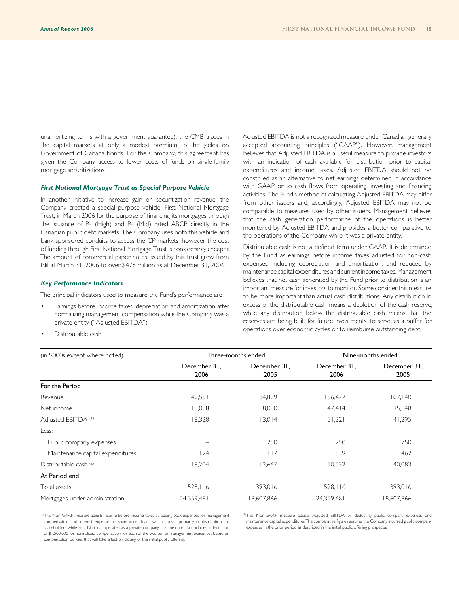unamortizing terms with a government guarantee), the CMB trades in the capital markets at only a modest premium to the yields on Government of Canada bonds. For the Company, this agreement has given the Company access to lower costs of funds on single-family mortgage securitizations.

#### *First National Mortgage Trust as Special Purpose Vehicle*

In another initiative to increase gain on securitization revenue, the Company created a special purpose vehicle, First National Mortgage Trust, in March 2006 for the purpose of financing its mortgages through the issuance of R-1(High) and R-1(Mid) rated ABCP directly in the Canadian public debt markets. The Company uses both this vehicle and bank sponsored conduits to access the CP markets; however the cost of funding through First National Mortgage Trust is considerably cheaper. The amount of commercial paper notes issued by this trust grew from Nil at March 31, 2006 to over \$478 million as at December 31, 2006.

#### *Key Performance Indicators*

The principal indicators used to measure the Fund's performance are:

- Earnings before income taxes, depreciation and amortization after normalizing management compensation while the Company was a private entity ("Adjusted EBITDA") •
- Distributable cash. •

Adjusted EBITDA is not a recognized measure under Canadian generally accepted accounting principles ("GAAP"). However, management believes that Adjusted EBITDA is a useful measure to provide investors with an indication of cash available for distribution prior to capital expenditures and income taxes. Adjusted EBITDA should not be construed as an alternative to net earnings determined in accordance with GAAP or to cash flows from operating, investing and financing activities. The Fund's method of calculating Adjusted EBITDA may differ from other issuers and, accordingly, Adjusted EBITDA may not be comparable to measures used by other issuers. Management believes that the cash generation performance of the operations is better monitored by Adjusted EBITDA and provides a better comparative to the operations of the Company while it was a private entity.

Distributable cash is not a defined term under GAAP. It is determined by the Fund as earnings before income taxes adjusted for non-cash expenses, including depreciation and amortization, and reduced by maintenance capital expenditures and current income taxes. Management believes that net cash generated by the Fund prior to distribution is an important measure for investors to monitor. Some consider this measure to be more important than actual cash distributions. Any distribution in excess of the distributable cash means a depletion of the cash reserve, while any distribution below the distributable cash means that the reserves are being built for future investments, to serve as a buffer for operations over economic cycles or to reimburse outstanding debt.

| (in \$000s except where noted)   |                      | Three-months ended   |                      | Nine-months ended    |  |  |
|----------------------------------|----------------------|----------------------|----------------------|----------------------|--|--|
|                                  | December 31,<br>2006 | December 31,<br>2005 | December 31,<br>2006 | December 31,<br>2005 |  |  |
| For the Period                   |                      |                      |                      |                      |  |  |
| Revenue                          | 49,551               | 34,899               | 156,427              | 107,140              |  |  |
| Net income                       | 8,038                | 8,080                | 47,414               | 25,848               |  |  |
| Adjusted EBITDA <sup>(I)</sup>   | 18,328               | 13,014               | 51,321               | 41,295               |  |  |
| Less:                            |                      |                      |                      |                      |  |  |
| Public company expenses          |                      | 250                  | 250                  | 750                  |  |  |
| Maintenance capital expenditures | 124                  | 117                  | 539                  | 462                  |  |  |
| Distributable cash (2)           | 18,204               | 12,647               | 50,532               | 40,083               |  |  |
| At Period end                    |                      |                      |                      |                      |  |  |
| Total assets                     | 528, 116             | 393,016              | 528,116              | 393,016              |  |  |
| Mortgages under administration   | 24,359,481           | 18,607,866           | 24,359,481           | 18,607,866           |  |  |

(1)This Non-GAAP measure adjusts income before income taxes by adding back expenses for management compensation and interest expense on shareholder loans which consist primarily of distributions to shareholders while First National operated as a private company. This measure also includes a deduction of \$1,500,000 for normalized compensation for each of the two senior management executives based on compensation policies that will take effect on closing of the initial public offering.

(2)This Non-GAAP measure adjusts Adjusted EBITDA by deducting public company expenses and maintenance capital expenditures. The comparative figures assume the Company incurred public company expenses in the prior period as described in the initial public offering prospectus.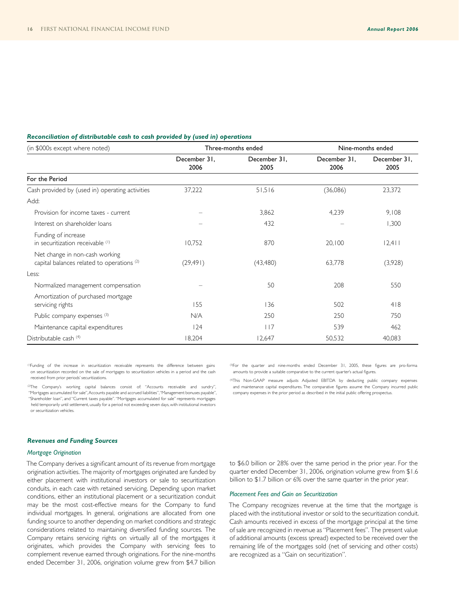#### *Reconciliation of distributable cash to cash provided by (used in) operations*

| (in \$000s except where noted)                                                          | Three-months ended   |                      | Nine-months ended    |                      |
|-----------------------------------------------------------------------------------------|----------------------|----------------------|----------------------|----------------------|
|                                                                                         | December 31,<br>2006 | December 31,<br>2005 | December 31,<br>2006 | December 31,<br>2005 |
| For the Period                                                                          |                      |                      |                      |                      |
| Cash provided by (used in) operating activities                                         | 37,222               | 51,516               | (36,086)             | 23,372               |
| Add:                                                                                    |                      |                      |                      |                      |
| Provision for income taxes - current                                                    |                      | 3,862                | 4,239                | 9,108                |
| Interest on shareholder loans                                                           |                      | 432                  |                      | 1,300                |
| Funding of increase<br>in securitization receivable (1)                                 | 10,752               | 870                  | 20,100               | 12,411               |
| Net change in non-cash working<br>capital balances related to operations <sup>(2)</sup> | (29, 491)            | (43, 480)            | 63,778               | (3,928)              |
| Less:                                                                                   |                      |                      |                      |                      |
| Normalized management compensation                                                      |                      | 50                   | 208                  | 550                  |
| Amortization of purchased mortgage<br>servicing rights                                  | 155                  | 136                  | 502                  | 418                  |
| Public company expenses <sup>(3)</sup>                                                  | N/A                  | 250                  | 250                  | 750                  |
| Maintenance capital expenditures                                                        | 124                  | 117                  | 539                  | 462                  |
| Distributable cash (4)                                                                  | 18,204               | 12,647               | 50,532               | 40,083               |

(1)Funding of the increase in securitization receivable represents the difference between gains on securitization recorded on the sale of mortgages to securitization vehicles in a period and the cash received from prior periods' securitizations.

(2)The Company's working capital balances consist of: "Accounts receivable and sundry", "Mortgages accumulated for sale", Accounts payable and accrued liabilities", "Management bonuses payable", "Shareholder loan", and "Current taxes payable". "Mortgages accumulated for sale" represents mortgages held temporarily until settlement, usually for a period not exceeding seven days, with institutional investors or securitization vehicles.

(3)For the quarter and nine-months ended December 31, 2005, these figures are pro-forma amounts to provide a suitable comparative to the current quarter's actual figures.

(4)This Non-GAAP measure adjusts Adjusted EBITDA by deducting public company expenses and maintenance capital expenditures. The comparative figures assume the Company incurred public company expenses in the prior period as described in the initial public offering prospectus.

#### *Revenues and Funding Sources*

#### *Mortgage Origination*

The Company derives a significant amount of its revenue from mortgage origination activities. The majority of mortgages originated are funded by either placement with institutional investors or sale to securitization conduits, in each case with retained servicing. Depending upon market conditions, either an institutional placement or a securitization conduit may be the most cost-effective means for the Company to fund individual mortgages. In general, originations are allocated from one funding source to another depending on market conditions and strategic considerations related to maintaining diversified funding sources. The Company retains servicing rights on virtually all of the mortgages it originates, which provides the Company with servicing fees to complement revenue earned through originations. For the nine-months ended December 31, 2006, origination volume grew from \$4.7 billion

to \$6.0 billion or 28% over the same period in the prior year. For the quarter ended December 31, 2006, origination volume grew from \$1.6 billion to \$1.7 billion or 6% over the same quarter in the prior year.

#### *Placement Fees and Gain on Securitization*

The Company recognizes revenue at the time that the mortgage is placed with the institutional investor or sold to the securitization conduit. Cash amounts received in excess of the mortgage principal at the time of sale are recognized in revenue as "Placement fees". The present value of additional amounts (excess spread) expected to be received over the remaining life of the mortgages sold (net of servicing and other costs) are recognized as a "Gain on securitization".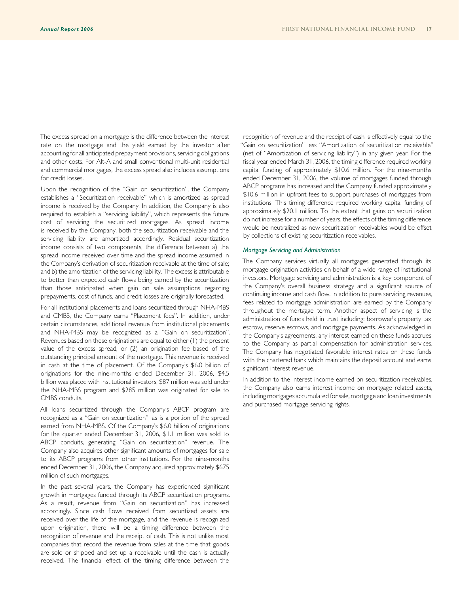The excess spread on a mortgage is the difference between the interest rate on the mortgage and the yield earned by the investor after accounting for all anticipated prepayment provisions, servicing obligations and other costs. For Alt-A and small conventional multi-unit residential and commercial mortgages, the excess spread also includes assumptions for credit losses.

Upon the recognition of the "Gain on securitization", the Company establishes a "Securitization receivable" which is amortized as spread income is received by the Company. In addition, the Company is also required to establish a "servicing liability", which represents the future cost of servicing the securitized mortgages. As spread income is received by the Company, both the securitization receivable and the servicing liability are amortized accordingly. Residual securitization income consists of two components, the difference between a) the spread income received over time and the spread income assumed in the Company's derivation of securitization receivable at the time of sale; and b) the amortization of the servicing liability. The excess is attributable to better than expected cash flows being earned by the securitization than those anticipated when gain on sale assumptions regarding prepayments, cost of funds, and credit losses are originally forecasted.

For all institutional placements and loans securitized through NHA-MBS and CMBS, the Company earns "Placement fees". In addition, under certain circumstances, additional revenue from institutional placements and NHA-MBS may be recognized as a "Gain on securitization". Revenues based on these originations are equal to either (1) the present value of the excess spread, or (2) an origination fee based of the outstanding principal amount of the mortgage. This revenue is received in cash at the time of placement. Of the Company's \$6.0 billion of originations for the nine-months ended December 31, 2006, \$4.5 billion was placed with institutional investors, \$87 million was sold under the NHA-MBS program and \$285 million was originated for sale to CMBS conduits.

All loans securitized through the Company's ABCP program are recognized as a "Gain on securitization", as is a portion of the spread earned from NHA-MBS. Of the Company's \$6.0 billion of originations for the quarter ended December 31, 2006, \$1.1 million was sold to ABCP conduits, generating "Gain on securitization" revenue. The Company also acquires other significant amounts of mortgages for sale to its ABCP programs from other institutions. For the nine-months ended December 31, 2006, the Company acquired approximately \$675 million of such mortgages.

In the past several years, the Company has experienced significant growth in mortgages funded through its ABCP securitization programs. As a result, revenue from "Gain on securitization" has increased accordingly. Since cash flows received from securitized assets are received over the life of the mortgage, and the revenue is recognized upon origination, there will be a timing difference between the recognition of revenue and the receipt of cash. This is not unlike most companies that record the revenue from sales at the time that goods are sold or shipped and set up a receivable until the cash is actually received. The financial effect of the timing difference between the

recognition of revenue and the receipt of cash is effectively equal to the "Gain on securitization" less "Amortization of securitization receivable" (net of "Amortization of servicing liability") in any given year. For the fiscal year ended March 31, 2006, the timing difference required working capital funding of approximately \$10.6 million. For the nine-months ended December 31, 2006, the volume of mortgages funded through ABCP programs has increased and the Company funded approximately \$10.6 million in upfront fees to support purchases of mortgages from institutions. This timing difference required working capital funding of approximately \$20.1 million. To the extent that gains on securitization do not increase for a number of years, the effects of the timing difference would be neutralized as new securitization receivables would be offset by collections of existing securitization receivables.

#### *Mortgage Servicing and Administration*

The Company services virtually all mortgages generated through its mortgage origination activities on behalf of a wide range of institutional investors. Mortgage servicing and administration is a key component of the Company's overall business strategy and a significant source of continuing income and cash flow. In addition to pure servicing revenues, fees related to mortgage administration are earned by the Company throughout the mortgage term. Another aspect of servicing is the administration of funds held in trust including: borrower's property tax escrow, reserve escrows, and mortgage payments. As acknowledged in the Company's agreements, any interest earned on these funds accrues to the Company as partial compensation for administration services. The Company has negotiated favorable interest rates on these funds with the chartered bank which maintains the deposit account and earns significant interest revenue.

In addition to the interest income earned on securitization receivables, the Company also earns interest income on mortgage related assets, including mortgages accumulated for sale, mortgage and loan investments and purchased mortgage servicing rights.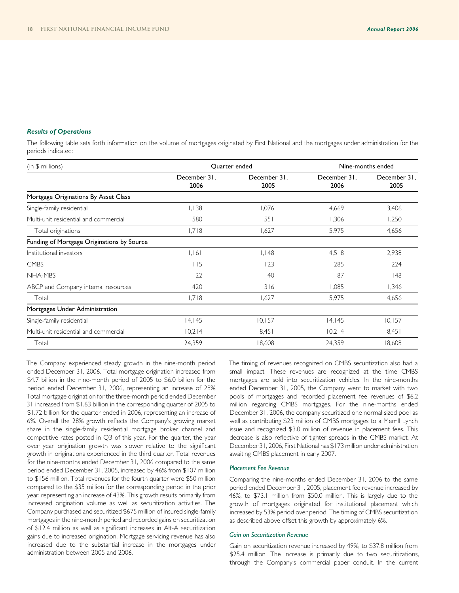#### *Results of Operations*

The following table sets forth information on the volume of mortgages originated by First National and the mortgages under administration for the periods indicated:

| (in \$ millions)                           | Quarter ended        |                      | Nine-months ended    |                      |
|--------------------------------------------|----------------------|----------------------|----------------------|----------------------|
|                                            | December 31,<br>2006 | December 31,<br>2005 | December 31,<br>2006 | December 31,<br>2005 |
| Mortgage Originations By Asset Class       |                      |                      |                      |                      |
| Single-family residential                  | 1.138                | 1,076                | 4,669                | 3,406                |
| Multi-unit residential and commercial      | 580                  | 551                  | 1,306                | 1,250                |
| Total originations                         | 1,718                | 1,627                | 5,975                | 4,656                |
| Funding of Mortgage Originations by Source |                      |                      |                      |                      |
| Institutional investors                    | 1.161                | 1,148                | 4,518                | 2,938                |
| <b>CMBS</b>                                | 115                  | 123                  | 285                  | 224                  |
| NHA-MBS                                    | 22                   | 40                   | 87                   | 48                   |
| ABCP and Company internal resources        | 420                  | 316                  | 1,085                | 1,346                |
| Total                                      | 1,718                | 1,627                | 5,975                | 4,656                |
| Mortgages Under Administration             |                      |                      |                      |                      |
| Single-family residential                  | 14,145               | 10,157               | 14,145               | 10,157               |
| Multi-unit residential and commercial      | 10,214               | 8,451                | 10,214               | 8,451                |
| Total                                      | 24,359               | 18,608               | 24,359               | 18,608               |

The Company experienced steady growth in the nine-month period ended December 31, 2006. Total mortgage origination increased from \$4.7 billion in the nine-month period of 2005 to \$6.0 billion for the period ended December 31, 2006, representing an increase of 28%. Total mortgage origination for the three-month period ended December 31 increased from \$1.63 billion in the corresponding quarter of 2005 to \$1.72 billion for the quarter ended in 2006, representing an increase of 6%. Overall the 28% growth reflects the Company's growing market share in the single-family residential mortgage broker channel and competitive rates posted in Q3 of this year. For the quarter, the year over year origination growth was slower relative to the significant growth in originations experienced in the third quarter. Total revenues for the nine-months ended December 31, 2006 compared to the same period ended December 31, 2005, increased by 46% from \$107 million to \$156 million. Total revenues for the fourth quarter were \$50 million compared to the \$35 million for the corresponding period in the prior year, representing an increase of 43%. This growth results primarily from increased origination volume as well as securitization activities. The Company purchased and securitized \$675 million of insured single-family mortgages in the nine-month period and recorded gains on securitization of \$12.4 million as well as significant increases in Alt-A securitization gains due to increased origination. Mortgage servicing revenue has also increased due to the substantial increase in the mortgages under administration between 2005 and 2006.

The timing of revenues recognized on CMBS securitization also had a small impact. These revenues are recognized at the time CMBS mortgages are sold into securitization vehicles. In the nine-months ended December 31, 2005, the Company went to market with two pools of mortgages and recorded placement fee revenues of \$6.2 million regarding CMBS mortgages. For the nine-months ended December 31, 2006, the company securitized one normal sized pool as well as contributing \$23 million of CMBS mortgages to a Merrill Lynch issue and recognized \$3.0 million of revenue in placement fees. This decrease is also reflective of tighter spreads in the CMBS market. At December 31, 2006, First National has \$173 million under administration awaiting CMBS placement in early 2007.

#### *Placement Fee Revenue*

Comparing the nine-months ended December 31, 2006 to the same period ended December 31, 2005, placement fee revenue increased by 46%, to \$73.1 million from \$50.0 million. This is largely due to the growth of mortgages originated for institutional placement which increased by 53% period over period. The timing of CMBS securitization as described above offset this growth by approximately 6%.

#### *Gain on Securitization Revenue*

Gain on securitization revenue increased by 49%, to \$37.8 million from \$25.4 million. The increase is primarily due to two securitizations, through the Company's commercial paper conduit. In the current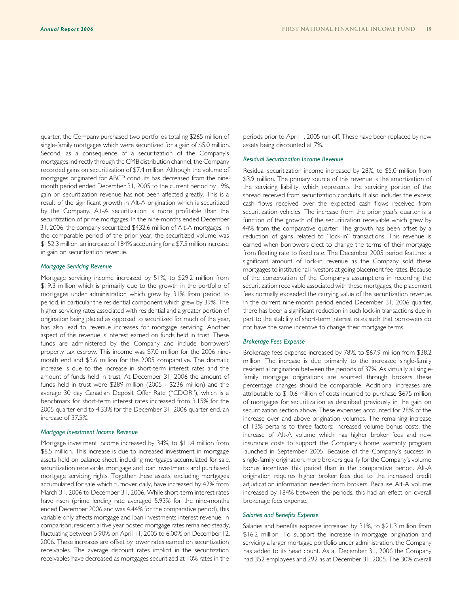quarter, the Company purchased two portfolios totaling \$265 million of single-family mortgages which were securitized for a gain of \$5.0 million. Second, as a consequence of a securitization of the Company's mortgages indirectly through the CMB distribution channel, the Company recorded gains on securitization of \$7.4 million. Although the volume of mortgages originated for ABCP conduits has decreased from the ninemonth period ended December 31, 2005 to the current period by 19%, gain on securitization revenue has not been affected greatly. This is a result of the significant growth in Alt-A origination which is securitized by the Company. Alt-A securitization is more profitable than the securitization of prime mortgages. In the nine-months ended December 31, 2006, the company securitized \$432.6 million of Alt-A mortgages. In the comparable period of the prior year, the securitized volume was \$152.3 million, an increase of 184% accounting for a \$7.5 million increase in gain on securitization revenue.

#### *Mortgage Servicing Revenue*

Mortgage servicing income increased by 51%, to \$29.2 million from \$19.3 million which is primarily due to the growth in the portfolio of mortgages under administration which grew by 31% from period to period, in particular the residential component which grew by 39%. The higher servicing rates associated with residential and a greater portion of origination being placed as opposed to securitized for much of the year, has also lead to revenue increases for mortgage servicing. Another aspect of this revenue is interest earned on funds held in trust. These funds are administered by the Company and include borrowers' property tax escrow. This income was \$7.0 million for the 2006 ninemonth end and \$3.6 million for the 2005 comparative. The dramatic increase is due to the increase in short-term interest rates and the amount of funds held in trust. At December 31, 2006 the amount of funds held in trust were \$289 million (2005 - \$236 million) and the average 30 day Canadian Deposit Offer Rate ("CDOR"), which is a benchmark for short-term interest rates increased from 3.15% for the 2005 quarter end to 4.33% for the December 31, 2006 quarter end, an increase of 37.5%.

#### *Mortgage Investment Income Revenue*

Mortgage investment income increased by 34%, to \$11.4 million from \$8.5 million. This increase is due to increased investment in mortgage assets held on balance sheet, including mortgages accumulated for sale, securitization receivable, mortgage and loan investments and purchased mortgage servicing rights. Together these assets, excluding mortgages accumulated for sale which turnover daily, have increased by 42% from March 31, 2006 to December 31, 2006. While short-term interest rates have risen (prime lending rate averaged 5.93% for the nine-months ended December 2006 and was 4.44% for the comparative period), this variable only affects mortgage and loan investments interest revenue. In comparison, residential five year posted mortgage rates remained steady, fluctuating between 5.90% on April 11, 2005 to 6.00% on December 12, 2006. These increases are offset by lower rates earned on securitization receivables. The average discount rates implicit in the securitization receivables have decreased as mortgages securitized at 10% rates in the

periods prior to April 1, 2005 run off. These have been replaced by new assets being discounted at 7%.

#### *Residual Securitization Income Revenue*

Residual securitization income increased by 28%, to \$5.0 million from \$3.9 million. The primary source of this revenue is the amortization of the servicing liability, which represents the servicing portion of the spread received from securitization conduits. It also includes the excess cash flows received over the expected cash flows received from securitization vehicles. The increase from the prior year's quarter is a function of the growth of the securitization receivable which grew by 44% from the comparative quarter. The growth has been offset by a reduction of gains related to "lock-in" transactions. This revenue is earned when borrowers elect to change the terms of their mortgage from floating rate to fixed rate. The December 2005 period featured a significant amount of lock-in revenue as the Company sold these mortgages to institutional investors at going placement fee rates. Because of the conservatism of the Company's assumptions in recording the securitization receivable associated with these mortgages, the placement fees normally exceeded the carrying value of the securitization revenue. In the current nine-month period ended December 31, 2006 quarter, there has been a significant reduction in such lock-in transactions due in part to the stability of short-term interest rates such that borrowers do not have the same incentive to change their mortgage terms.

#### *Brokerage Fees Expense*

Brokerage fees expense increased by 78%, to \$67.9 million from \$38.2 million. The increase is due primarily to the increased single-family residential origination between the periods of 37%. As virtually all singlefamily mortgage originations are sourced through brokers these percentage changes should be comparable. Additional increases are attributable to \$10.6 million of costs incurred to purchase \$675 million of mortgages for securitization as described previously in the gain on securitization section above. These expenses accounted for 28% of the increase over and above origination volumes. The remaining increase of 13% pertains to three factors: increased volume bonus costs, the increase of Alt-A volume which has higher broker fees and new insurance costs to support the Company's home warranty program launched in September 2005. Because of the Company's success in single-family origination, more brokers qualify for the Company's volume bonus incentives this period than in the comparative period. Alt-A origination requires higher broker fees due to the increased credit adjudication information needed from brokers. Because Alt-A volume increased by 184% between the periods, this had an effect on overall brokerage fees expense.

#### *Salaries and Benefits Expense*

Salaries and benefits expense increased by 31%, to \$21.3 million from \$16.2 million. To support the increase in mortgage origination and servicing a larger mortgage portfolio under administration, the Company has added to its head count. As at December 31, 2006 the Company had 352 employees and 292 as at December 31, 2005. The 30% overall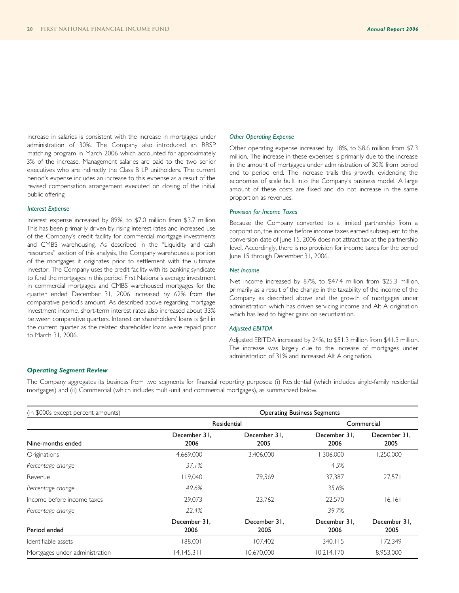increase in salaries is consistent with the increase in mortgages under administration of 30%. The Company also introduced an RRSP matching program in March 2006 which accounted for approximately 3% of the increase. Management salaries are paid to the two senior executives who are indirectly the Class B LP unitholders. The current period's expense includes an increase to this expense as a result of the revised compensation arrangement executed on closing of the initial public offering.

#### *Interest Expense*

Interest expense increased by 89%, to \$7.0 million from \$3.7 million. This has been primarily driven by rising interest rates and increased use of the Company's credit facility for commercial mortgage investments and CMBS warehousing. As described in the "Liquidity and cash resources" section of this analysis, the Company warehouses a portion of the mortgages it originates prior to settlement with the ultimate investor. The Company uses the credit facility with its banking syndicate to fund the mortgages in this period. First National's average investment in commercial mortgages and CMBS warehoused mortgages for the quarter ended December 31, 2006 increased by 62% from the comparative period's amount. As described above regarding mortgage investment income, short-term interest rates also increased about 33% between comparative quarters. Interest on shareholders' loans is \$nil in the current quarter as the related shareholder loans were repaid prior to March 31, 2006.

#### *Other Operating Expense*

Other operating expense increased by 18%, to \$8.6 million from \$7.3 million. The increase in these expenses is primarily due to the increase in the amount of mortgages under administration of 30% from period end to period end. The increase trails this growth, evidencing the economies of scale built into the Company's business model. A large amount of these costs are fixed and do not increase in the same proportion as revenues.

#### *Provision for Income Taxes*

Because the Company converted to a limited partnership from a corporation, the income before income taxes earned subsequent to the conversion date of June 15, 2006 does not attract tax at the partnership level. Accordingly, there is no provision for income taxes for the period June 15 through December 31, 2006.

#### *Net Income*

Net income increased by 87%, to \$47.4 million from \$25.3 million, primarily as a result of the change in the taxability of the income of the Company as described above and the growth of mortgages under administration which has driven servicing income and Alt A origination which has lead to higher gains on securitization.

#### *Adjusted EBITDA*

Adjusted EBITDA increased by 24%, to \$51.3 million from \$41.3 million. The increase was largely due to the increase of mortgages under administration of 31% and increased Alt A origination.

#### *Operating Segment Review*

The Company aggregates its business from two segments for financial reporting purposes: (i) Residential (which includes single-family residential mortgages) and (ii) Commercial (which includes multi-unit and commercial mortgages), as summarized below.

| (in \$000s except percent amounts) | <b>Operating Business Segments</b> |                      |                      |                      |
|------------------------------------|------------------------------------|----------------------|----------------------|----------------------|
|                                    |                                    | Residential          |                      | Commercial           |
| Nine-months ended                  | December 31,<br>2006               | December 31.<br>2005 | December 31,<br>2006 | December 31,<br>2005 |
| Originations                       | 4,669,000                          | 3,406,000            | 306,000,             | 250,000,             |
| Percentage change                  | 37.1%                              |                      | 4.5%                 |                      |
| Revenue                            | 119,040                            | 79.569               | 37.387               | 27,571               |
| Percentage change                  | 49.6%                              |                      | 35.6%                |                      |
| Income before income taxes         | 29.073                             | 23.762               | 22.570               | 16.161               |
| Percentage change                  | 22.4%                              |                      | 39.7%                |                      |
| Period ended                       | December 31,<br>2006               | December 31,<br>2005 | December 31,<br>2006 | December 31,<br>2005 |
| Identifiable assets                | 188.001                            | 107,402              | 340, I 15            | 172.349              |
| Mortgages under administration     | 14,145,311                         | 10.670.000           | 10.214.170           | 8.953.000            |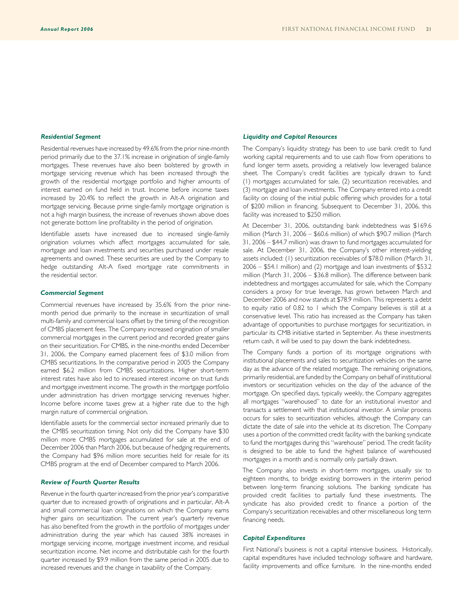#### *Residential Segment*

Residential revenues have increased by 49.6% from the prior nine-month period primarily due to the 37.1% increase in origination of single-family mortgages. These revenues have also been bolstered by growth in mortgage servicing revenue which has been increased through the growth of the residential mortgage portfolio and higher amounts of interest earned on fund held in trust. Income before income taxes increased by 20.4% to reflect the growth in Alt-A origination and mortgage servicing. Because prime single-family mortgage origination is not a high margin business, the increase of revenues shown above does not generate bottom line profitability in the period of origination.

Identifiable assets have increased due to increased single-family origination volumes which affect mortgages accumulated for sale, mortgage and loan investments and securities purchased under resale agreements and owned. These securities are used by the Company to hedge outstanding Alt-A fixed mortgage rate commitments in the residential sector.

#### *Commercial Segment*

Commercial revenues have increased by 35.6% from the prior ninemonth period due primarily to the increase in securitization of small multi-family and commercial loans offset by the timing of the recognition of CMBS placement fees. The Company increased origination of smaller commercial mortgages in the current period and recorded greater gains on their securitization. For CMBS, in the nine-months ended December 31, 2006, the Company earned placement fees of \$3.0 million from CMBS securitizations. In the comparative period in 2005 the Company earned \$6.2 million from CMBS securitizations. Higher short-term interest rates have also led to increased interest income on trust funds and mortgage investment income. The growth in the mortgage portfolio under administration has driven mortgage servicing revenues higher. Income before income taxes grew at a higher rate due to the high margin nature of commercial origination.

Identifiable assets for the commercial sector increased primarily due to the CMBS securitization timing. Not only did the Company have \$30 million more CMBS mortgages accumulated for sale at the end of December 2006 than March 2006, but because of hedging requirements, the Company had \$96 million more securities held for resale for its CMBS program at the end of December compared to March 2006.

#### *Review of Fourth Quarter Results*

Revenue in the fourth quarter increased from the prior year's comparative quarter due to increased growth of originations and in particular, Alt-A and small commercial loan originations on which the Company earns higher gains on securitization. The current year's quarterly revenue has also benefited from the growth in the portfolio of mortgages under administration during the year which has caused 38% increases in mortgage servicing income, mortgage investment income, and residual securitization income. Net income and distributable cash for the fourth quarter increased by \$9.9 million from the same period in 2005 due to increased revenues and the change in taxability of the Company.

#### *Liquidity and Capital Resources*

The Company's liquidity strategy has been to use bank credit to fund working capital requirements and to use cash flow from operations to fund longer term assets, providing a relatively low leveraged balance sheet. The Company's credit facilities are typically drawn to fund: (1) mortgages accumulated for sale, (2) securitization receivables, and (3) mortgage and loan investments. The Company entered into a credit facility on closing of the initial public offering which provides for a total of \$200 million in financing. Subsequent to December 31, 2006, this facility was increased to \$250 million.

At December 31, 2006, outstanding bank indebtedness was \$169.6 million (March 31, 2006 – \$60.6 million) of which \$90.7 million (March 31, 2006 – \$44.7 million) was drawn to fund mortgages accumulated for sale. At December 31, 2006, the Company's other interest-yielding assets included: (1) securitization receivables of \$78.0 million (March 31, 2006 – \$54.1 million) and (2) mortgage and loan investments of \$53.2 million (March 31, 2006 – \$36.8 million). The difference between bank indebtedness and mortgages accumulated for sale, which the Company considers a proxy for true leverage, has grown between March and December 2006 and now stands at \$78.9 million. This represents a debt to equity ratio of 0.82 to 1 which the Company believes is still at a conservative level. This ratio has increased as the Company has taken advantage of opportunities to purchase mortgages for securitization, in particular its CMB initiative started in September. As these investments return cash, it will be used to pay down the bank indebtedness.

The Company funds a portion of its mortgage originations with institutional placements and sales to securitization vehicles on the same day as the advance of the related mortgage. The remaining originations, primarily residential, are funded by the Company on behalf of institutional investors or securitization vehicles on the day of the advance of the mortgage. On specified days, typically weekly, the Company aggregates all mortgages "warehoused" to date for an institutional investor and transacts a settlement with that institutional investor. A similar process occurs for sales to securitization vehicles, although the Company can dictate the date of sale into the vehicle at its discretion. The Company uses a portion of the committed credit facility with the banking syndicate to fund the mortgages during this "warehouse" period. The credit facility is designed to be able to fund the highest balance of warehoused mortgages in a month and is normally only partially drawn.

The Company also invests in short-term mortgages, usually six to eighteen months, to bridge existing borrowers in the interim period between long-term financing solutions. The banking syndicate has provided credit facilities to partially fund these investments. The syndicate has also provided credit to finance a portion of the Company's securitization receivables and other miscellaneous long term financing needs.

#### *Capital Expenditures*

First National's business is not a capital intensive business. Historically, capital expenditures have included technology software and hardware, facility improvements and office furniture. In the nine-months ended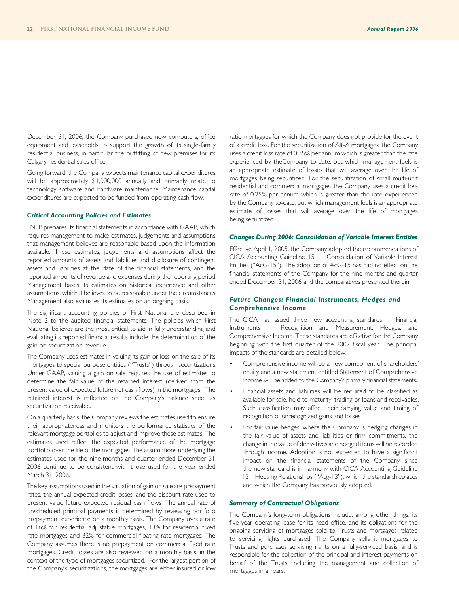December 31, 2006, the Company purchased new computers, office equipment and leaseholds to support the growth of its single-family residential business, in particular the outfitting of new premises for its Calgary residential sales office.

Going forward, the Company expects maintenance capital expenditures will be approximately \$1,000,000 annually and primarily relate to technology software and hardware maintenance. Maintenance capital expenditures are expected to be funded from operating cash flow.

#### *Critical Accounting Policies and Estimates*

FNLP prepares its financial statements in accordance with GAAP, which requires management to make estimates, judgements and assumptions that management believes are reasonable based upon the information available. These estimates, judgements and assumptions affect the reported amounts of assets and liabilities and disclosure of contingent assets and liabilities at the date of the financial statements, and the reported amounts of revenue and expenses during the reporting period. Management bases its estimates on historical experience and other assumptions, which it believes to be reasonable under the circumstances. Management also evaluates its estimates on an ongoing basis.

The significant accounting policies of First National are described in Note 2 to the audited financial statements. The policies which First National believes are the most critical to aid in fully understanding and evaluating its reported financial results include the determination of the gain on securitization revenue.

The Company uses estimates in valuing its gain or loss on the sale of its mortgages to special purpose entities ("Trusts") through securitizations. Under GAAP, valuing a gain on sale requires the use of estimates to determine the fair value of the retained interest (derived from the present value of expected future net cash flows) in the mortgages. The retained interest is reflected on the Company's balance sheet as securitization receivable.

On a quarterly basis, the Company reviews the estimates used to ensure their appropriateness and monitors the performance statistics of the relevant mortgage portfolios to adjust and improve these estimates. The estimates used reflect the expected performance of the mortgage portfolio over the life of the mortgages. The assumptions underlying the estimates used for the nine-months and quarter ended December 31, 2006 continue to be consistent with those used for the year ended March 31, 2006.

The key assumptions used in the valuation of gain on sale are prepayment rates, the annual expected credit losses, and the discount rate used to present value future expected residual cash flows. The annual rate of unscheduled principal payments is determined by reviewing portfolio prepayment experience on a monthly basis. The Company uses a rate of 16% for residential adjustable mortgages, 13% for residential fixed rate mortgages and 32% for commercial floating rate mortgages. The Company assumes there is no prepayment on commercial fixed rate mortgages. Credit losses are also reviewed on a monthly basis, in the context of the type of mortgages securitized. For the largest portion of the Company's securitizations, the mortgages are either insured or low

ratio mortgages for which the Company does not provide for the event of a credit loss. For the securitization of Alt-A mortgages, the Company uses a credit loss rate of 0.35% per annum which is greater than the rate experienced by theCompany to-date, but which management feels is an appropriate estimate of losses that will average over the life of mortgages being securitized. For the securitization of small multi-unit residential and commercial mortgages, the Company uses a credit loss rate of 0.25% per annum which is greater than the rate experienced by the Company to-date, but which management feels is an appropriate estimate of losses that will average over the life of mortgages being securitized.

#### *Changes During 2006: Consolidation of Variable Interest Entities*

Effective April 1, 2005, the Company adopted the recommendations of CICA Accounting Guideline 15 — Consolidation of Variable Interest Entities ("AcG-15"). The adoption of AcG-15 has had no effect on the financial statements of the Company for the nine-months and quarter ended December 31, 2006 and the comparatives presented therein.

#### *Future Changes: Financial Instruments, Hedges and Comprehensive Income*

The CICA has issued three new accounting standards — Financial Instruments — Recognition and Measurement, Hedges, and Comprehensive Income. These standards are effective for the Company beginning with the first quarter of the 2007 fiscal year. The principal impacts of the standards are detailed below:

- Comprehensive income will be a new component of shareholders' equity and a new statement entitled Statement of Comprehensive Income will be added to the Company's primary financial statements. •
- Financial assets and liabilities will be required to be classified as available for sale, held to maturity, trading or loans and receivables. Such classification may affect their carrying value and timing of recognition of unrecognized gains and losses. •
- For fair value hedges, where the Company is hedging changes in the fair value of assets and liabilities or firm commitments, the change in the value of derivatives and hedged items will be recorded through income. Adoption is not expected to have a significant impact on the financial statements of the Company since the new standard is in harmony with CICA Accounting Guideline 13 – Hedging Relationships ("Acg-13"), which the standard replaces and which the Company has previously adopted. •

#### *Summary of Contractual Obligations*

The Company's long-term obligations include, among other things, its five year operating lease for its head office, and its obligations for the ongoing servicing of mortgages sold to Trusts and mortgages related to servicing rights purchased. The Company sells it mortgages to Trusts and purchases servicing rights on a fully-serviced basis, and is responsible for the collection of the principal and interest payments on behalf of the Trusts, including the management and collection of mortgages in arrears.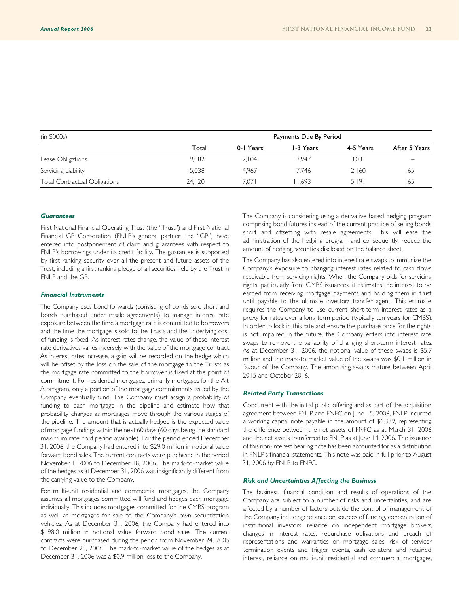| (in \$000s)                          |        | Payments Due By Period |           |           |               |  |
|--------------------------------------|--------|------------------------|-----------|-----------|---------------|--|
|                                      | Total  | 0-1 Years              | 1-3 Years | 4-5 Years | After 5 Years |  |
| Lease Obligations                    | 9.082  | 2.104                  | 3.947     | 3,031     |               |  |
| Servicing Liability                  | 15,038 | 4.967                  | 7.746     | 2.160     | 165           |  |
| <b>Total Contractual Obligations</b> | 24.120 | 7.071                  | 1.693     | 5.191     | 165           |  |

### *Guarantees*

First National Financial Operating Trust (the "Trust") and First National Financial GP Corporation (FNLP's general partner, the "GP") have entered into postponement of claim and guarantees with respect to FNLP's borrowings under its credit facility. The guarantee is supported by first ranking security over all the present and future assets of the Trust, including a first ranking pledge of all securities held by the Trust in FNLP and the GP.

#### *Financial Instruments*

The Company uses bond forwards (consisting of bonds sold short and bonds purchased under resale agreements) to manage interest rate exposure between the time a mortgage rate is committed to borrowers and the time the mortgage is sold to the Trusts and the underlying cost of funding is fixed. As interest rates change, the value of these interest rate derivatives varies inversely with the value of the mortgage contract. As interest rates increase, a gain will be recorded on the hedge which will be offset by the loss on the sale of the mortgage to the Trusts as the mortgage rate committed to the borrower is fixed at the point of commitment. For residential mortgages, primarily mortgages for the Alt-A program, only a portion of the mortgage commitments issued by the Company eventually fund. The Company must assign a probability of funding to each mortgage in the pipeline and estimate how that probability changes as mortgages move through the various stages of the pipeline. The amount that is actually hedged is the expected value of mortgage fundings within the next 60 days (60 days being the standard maximum rate hold period available). For the period ended December 31, 2006, the Company had entered into \$29.0 million in notional value forward bond sales. The current contracts were purchased in the period November 1, 2006 to December 18, 2006. The mark-to-market value of the hedges as at December 31, 2006 was insignificantly different from the carrying value to the Company.

For multi-unit residential and commercial mortgages, the Company assumes all mortgages committed will fund and hedges each mortgage individually. This includes mortgages committed for the CMBS program as well as mortgages for sale to the Company's own securitization vehicles. As at December 31, 2006, the Company had entered into \$198.0 million in notional value forward bond sales. The current contracts were purchased during the period from November 24, 2005 to December 28, 2006. The mark-to-market value of the hedges as at December 31, 2006 was a \$0.9 million loss to the Company.

The Company is considering using a derivative based hedging program comprising bond futures instead of the current practice of selling bonds short and offsetting with resale agreements. This will ease the administration of the hedging program and consequently, reduce the amount of hedging securities disclosed on the balance sheet.

The Company has also entered into interest rate swaps to immunize the Company's exposure to changing interest rates related to cash flows receivable from servicing rights. When the Company bids for servicing rights, particularly from CMBS issuances, it estimates the interest to be earned from receiving mortgage payments and holding them in trust until payable to the ultimate investor/ transfer agent. This estimate requires the Company to use current short-term interest rates as a proxy for rates over a long term period (typically ten years for CMBS). In order to lock in this rate and ensure the purchase price for the rights is not impaired in the future, the Company enters into interest rate swaps to remove the variability of changing short-term interest rates. As at December 31, 2006, the notional value of these swaps is \$5.7 million and the mark-to market value of the swaps was \$0.1 million in favour of the Company. The amortizing swaps mature between April 2015 and October 2016.

#### *Related Party Transactions*

Concurrent with the initial public offering and as part of the acquisition agreement between FNLP and FNFC on June 15, 2006, FNLP incurred a working capital note payable in the amount of \$6,339, representing the difference between the net assets of FNFC as at March 31, 2006 and the net assets transferred to FNLP as at June 14, 2006. The issuance of this non-interest bearing note has been accounted for as a distribution in FNLP's financial statements. This note was paid in full prior to August 31, 2006 by FNLP to FNFC.

#### *Risk and Uncertainties Affecting the Business*

The business, financial condition and results of operations of the Company are subject to a number of risks and uncertainties, and are affected by a number of factors outside the control of management of the Company including: reliance on sources of funding, concentration of institutional investors, reliance on independent mortgage brokers, changes in interest rates, repurchase obligations and breach of representations and warranties on mortgage sales, risk of servicer termination events and trigger events, cash collateral and retained interest, reliance on multi-unit residential and commercial mortgages,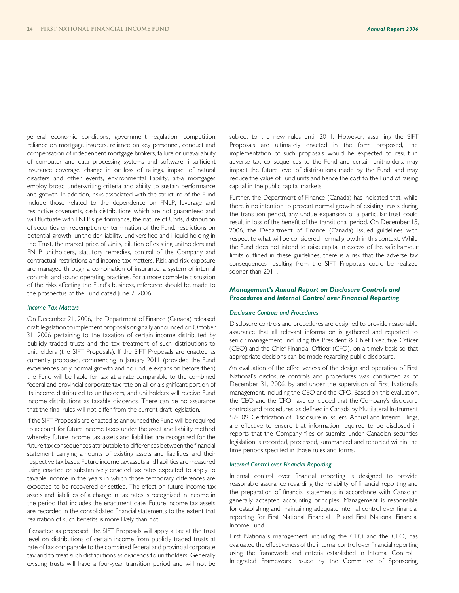general economic conditions, government regulation, competition, reliance on mortgage insurers, reliance on key personnel, conduct and compensation of independent mortgage brokers, failure or unavailability of computer and data processing systems and software, insufficient insurance coverage, change in or loss of ratings, impact of natural disasters and other events, environmental liability, alt-a mortgages employ broad underwriting criteria and ability to sustain performance and growth. In addition, risks associated with the structure of the Fund include those related to the dependence on FNLP, leverage and restrictive covenants, cash distributions which are not guaranteed and will fluctuate with FNLP's performance, the nature of Units, distribution of securities on redemption or termination of the Fund, restrictions on potential growth, unitholder liability, undiversified and illiquid holding in the Trust, the market price of Units, dilution of existing unitholders and FNLP unitholders, statutory remedies, control of the Company and contractual restrictions and income tax matters. Risk and risk exposure are managed through a combination of insurance, a system of internal controls, and sound operating practices. For a more complete discussion of the risks affecting the Fund's business, reference should be made to the prospectus of the Fund dated June 7, 2006.

#### *Income Tax Matters*

On December 21, 2006, the Department of Finance (Canada) released draft legislation to implement proposals originally announced on October 31, 2006 pertaining to the taxation of certain income distributed by publicly traded trusts and the tax treatment of such distributions to unitholders (the SIFT Proposals). If the SIFT Proposals are enacted as currently proposed, commencing in January 2011 (provided the Fund experiences only normal growth and no undue expansion before then) the Fund will be liable for tax at a rate comparable to the combined federal and provincial corporate tax rate on all or a significant portion of its income distributed to unitholders, and unitholders will receive Fund income distributions as taxable dividends. There can be no assurance that the final rules will not differ from the current draft legislation.

If the SIFT Proposals are enacted as announced the Fund will be required to account for future income taxes under the asset and liability method, whereby future income tax assets and liabilities are recognized for the future tax consequences attributable to differences between the financial statement carrying amounts of existing assets and liabilities and their respective tax bases. Future income tax assets and liabilities are measured using enacted or substantively enacted tax rates expected to apply to taxable income in the years in which those temporary differences are expected to be recovered or settled. The effect on future income tax assets and liabilities of a change in tax rates is recognized in income in the period that includes the enactment date. Future income tax assets are recorded in the consolidated financial statements to the extent that realization of such benefits is more likely than not.

If enacted as proposed, the SIFT Proposals will apply a tax at the trust level on distributions of certain income from publicly traded trusts at rate of tax comparable to the combined federal and provincial corporate tax and to treat such distributions as dividends to unitholders. Generally, existing trusts will have a four-year transition period and will not be

subject to the new rules until 2011. However, assuming the SIFT Proposals are ultimately enacted in the form proposed, the implementation of such proposals would be expected to result in adverse tax consequences to the Fund and certain unitholders, may impact the future level of distributions made by the Fund, and may reduce the value of Fund units and hence the cost to the Fund of raising capital in the public capital markets.

Further, the Department of Finance (Canada) has indicated that, while there is no intention to prevent normal growth of existing trusts during the transition period, any undue expansion of a particular trust could result in loss of the benefit of the transitional period. On December 15, 2006, the Department of Finance (Canada) issued guidelines with respect to what will be considered normal growth in this context. While the Fund does not intend to raise capital in excess of the safe harbour limits outlined in these guidelines, there is a risk that the adverse tax consequences resulting from the SIFT Proposals could be realized sooner than 2011.

#### *Management's Annual Report on Disclosure Controls and Procedures and Internal Control over Financial Reporting*

#### *Disclosure Controls and Procedures*

Disclosure controls and procedures are designed to provide reasonable assurance that all relevant information is gathered and reported to senior management, including the President & Chief Executive Officer (CEO) and the Chief Financial Officer (CFO), on a timely basis so that appropriate decisions can be made regarding public disclosure.

An evaluation of the effectiveness of the design and operation of First National's disclosure controls and procedures was conducted as of December 31, 2006, by and under the supervision of First National's management, including the CEO and the CFO. Based on this evaluation, the CEO and the CFO have concluded that the Company's disclosure controls and procedures, as defined in Canada by Multilateral Instrument 52-109, Certification of Disclosure in Issuers' Annual and Interim Filings, are effective to ensure that information required to be disclosed in reports that the Company files or submits under Canadian securities legislation is recorded, processed, summarized and reported within the time periods specified in those rules and forms.

#### *Internal Control over Financial Reporting*

Internal control over financial reporting is designed to provide reasonable assurance regarding the reliability of financial reporting and the preparation of financial statements in accordance with Canadian generally accepted accounting principles. Management is responsible for establishing and maintaining adequate internal control over financial reporting for First National Financial LP and First National Financial Income Fund.

First National's management, including the CEO and the CFO, has evaluated the effectiveness of the internal control over financial reporting using the framework and criteria established in Internal Control – Integrated Framework, issued by the Committee of Sponsoring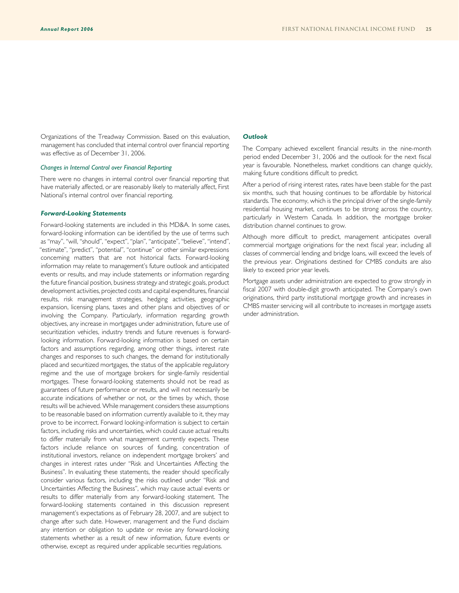Organizations of the Treadway Commission. Based on this evaluation, management has concluded that internal control over financial reporting was effective as of December 31, 2006.

#### *Changes in Internal Control over Financial Reporting*

There were no changes in internal control over financial reporting that have materially affected, or are reasonably likely to materially affect, First National's internal control over financial reporting.

#### *Forward-Looking Statements*

Forward-looking statements are included in this MD&A. In some cases, forward-looking information can be identified by the use of terms such as ''may'', ''will, ''should'', ''expect'', ''plan'', ''anticipate'', ''believe'', ''intend'', ''estimate'', ''predict'', ''potential'', ''continue'' or other similar expressions concerning matters that are not historical facts. Forward-looking information may relate to management's future outlook and anticipated events or results, and may include statements or information regarding the future financial position, business strategy and strategic goals, product development activities, projected costs and capital expenditures, financial results, risk management strategies, hedging activities, geographic expansion, licensing plans, taxes and other plans and objectives of or involving the Company. Particularly, information regarding growth objectives, any increase in mortgages under administration, future use of securitization vehicles, industry trends and future revenues is forwardlooking information. Forward-looking information is based on certain factors and assumptions regarding, among other things, interest rate changes and responses to such changes, the demand for institutionally placed and securitized mortgages, the status of the applicable regulatory regime and the use of mortgage brokers for single-family residential mortgages. These forward-looking statements should not be read as guarantees of future performance or results, and will not necessarily be accurate indications of whether or not, or the times by which, those results will be achieved. While management considers these assumptions to be reasonable based on information currently available to it, they may prove to be incorrect. Forward looking-information is subject to certain factors, including risks and uncertainties, which could cause actual results to differ materially from what management currently expects. These factors include reliance on sources of funding, concentration of institutional investors, reliance on independent mortgage brokers' and changes in interest rates under ''Risk and Uncertainties Affecting the Business''. In evaluating these statements, the reader should specifically consider various factors, including the risks outlined under ''Risk and Uncertainties Affecting the Business'', which may cause actual events or results to differ materially from any forward-looking statement. The forward-looking statements contained in this discussion represent management's expectations as of February 28, 2007, and are subject to change after such date. However, management and the Fund disclaim any intention or obligation to update or revise any forward-looking statements whether as a result of new information, future events or otherwise, except as required under applicable securities regulations.

#### *Outlook*

The Company achieved excellent financial results in the nine-month period ended December 31, 2006 and the outlook for the next fiscal year is favourable. Nonetheless, market conditions can change quickly, making future conditions difficult to predict.

After a period of rising interest rates, rates have been stable for the past six months, such that housing continues to be affordable by historical standards. The economy, which is the principal driver of the single-family residential housing market, continues to be strong across the country, particularly in Western Canada. In addition, the mortgage broker distribution channel continues to grow.

Although more difficult to predict, management anticipates overall commercial mortgage originations for the next fiscal year, including all classes of commercial lending and bridge loans, will exceed the levels of the previous year. Originations destined for CMBS conduits are also likely to exceed prior year levels.

Mortgage assets under administration are expected to grow strongly in fiscal 2007 with double-digit growth anticipated. The Company's own originations, third party institutional mortgage growth and increases in CMBS master servicing will all contribute to increases in mortgage assets under administration.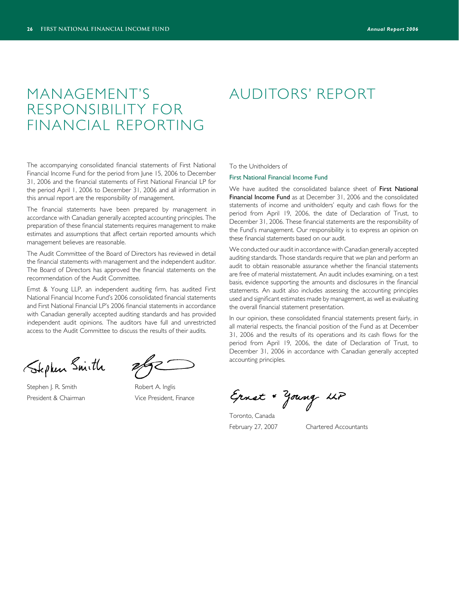## MANAGEMENT'S RESPONSIBILITY FOR FINANCIAL REPORTING

The accompanying consolidated financial statements of First National Financial Income Fund for the period from June 15, 2006 to December 31, 2006 and the financial statements of First National Financial LP for the period April 1, 2006 to December 31, 2006 and all information in this annual report are the responsibility of management.

The financial statements have been prepared by management in accordance with Canadian generally accepted accounting principles. The preparation of these financial statements requires management to make estimates and assumptions that affect certain reported amounts which management believes are reasonable.

The Audit Committee of the Board of Directors has reviewed in detail the financial statements with management and the independent auditor. The Board of Directors has approved the financial statements on the recommendation of the Audit Committee.

Ernst & Young LLP, an independent auditing firm, has audited First National Financial Income Fund's 2006 consolidated financial statements and First National Financial LP's 2006 financial statements in accordance with Canadian generally accepted auditing standards and has provided independent audit opinions. The auditors have full and unrestricted access to the Audit Committee to discuss the results of their audits.

Stephen Smith

Stephen J. R. Smith Robert A. Inglis President & Chairman Vice President, Finance

# AUDITORS' REPORT

To the Unitholders of

#### First National Financial Income Fund

We have audited the consolidated balance sheet of First National Financial Income Fund as at December 31, 2006 and the consolidated statements of income and unitholders' equity and cash flows for the period from April 19, 2006, the date of Declaration of Trust, to December 31, 2006. These financial statements are the responsibility of the Fund's management. Our responsibility is to express an opinion on these financial statements based on our audit.

We conducted our audit in accordance with Canadian generally accepted auditing standards. Those standards require that we plan and perform an audit to obtain reasonable assurance whether the financial statements are free of material misstatement. An audit includes examining, on a test basis, evidence supporting the amounts and disclosures in the financial statements. An audit also includes assessing the accounting principles used and significant estimates made by management, as well as evaluating the overall financial statement presentation.

In our opinion, these consolidated financial statements present fairly, in all material respects, the financial position of the Fund as at December 31, 2006 and the results of its operations and its cash flows for the period from April 19, 2006, the date of Declaration of Trust, to December 31, 2006 in accordance with Canadian generally accepted accounting principles.

Ernst + Young UP

Toronto, Canada

February 27, 2007 Chartered Accountants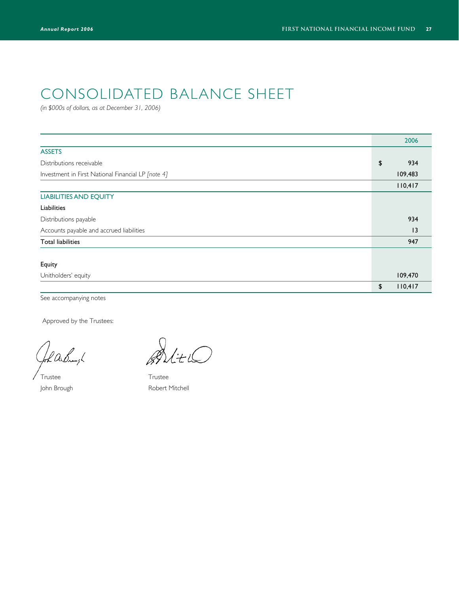# CONSOLIDATED BALANCE SHEET

*(in \$000s of dollars, as at December 31, 2006)*

|                                                    | 2006                 |
|----------------------------------------------------|----------------------|
| <b>ASSETS</b>                                      |                      |
| Distributions receivable                           | 934<br>$\frac{1}{2}$ |
| Investment in First National Financial LP [note 4] | 109,483              |
|                                                    | 110,417              |
| <b>LIABILITIES AND EQUITY</b>                      |                      |
| Liabilities                                        |                      |
| Distributions payable                              | 934                  |
| Accounts payable and accrued liabilities           | 3                    |
| <b>Total liabilities</b>                           | 947                  |
| Equity                                             |                      |
| Unitholders' equity                                | 109,470              |
|                                                    | 110,417<br>\$        |
| See accompanying notes                             |                      |

Approved by the Trustees:

l ai

Trustee Trustee John Brough **Robert Mitchell** 

 $H^{\prime}(\mathbb{C})$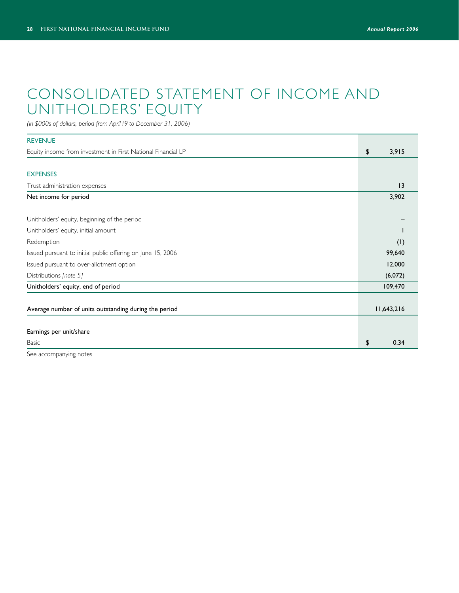## CONSOLIDATED STATEMENT OF INCOME AND UNITHOLDERS' EQUITY

*(in \$000s of dollars, period from April 19 to December 31, 2006)*

| <b>REVENUE</b>                                               |             |
|--------------------------------------------------------------|-------------|
| Equity income from investment in First National Financial LP | \$<br>3,915 |
|                                                              |             |
| <b>EXPENSES</b>                                              |             |
| Trust administration expenses                                | 3           |
| Net income for period                                        | 3,902       |
|                                                              |             |
| Unitholders' equity, beginning of the period                 |             |
| Unitholders' equity, initial amount                          |             |
| Redemption                                                   | (1)         |
| Issued pursuant to initial public offering on June 15, 2006  | 99,640      |
| Issued pursuant to over-allotment option                     | 12,000      |
| Distributions [note 5]                                       | (6,072)     |
| Unitholders' equity, end of period                           | 109,470     |
|                                                              |             |
| Average number of units outstanding during the period        | 11,643,216  |
|                                                              |             |
| Earnings per unit/share                                      |             |
| Basic                                                        | \$<br>0.34  |
|                                                              |             |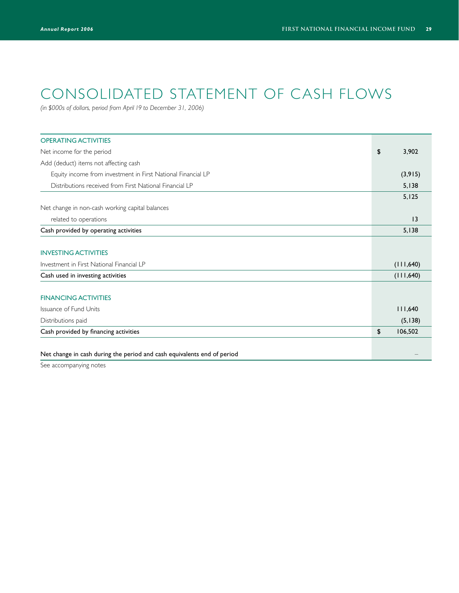# CONSOLIDATED STATEMENT OF CASH FLOWS

*(in \$000s of dollars, period from April 19 to December 31, 2006)*

| <b>OPERATING ACTIVITIES</b>                                             |               |
|-------------------------------------------------------------------------|---------------|
| Net income for the period                                               | \$<br>3,902   |
| Add (deduct) items not affecting cash                                   |               |
| Equity income from investment in First National Financial LP            | (3,915)       |
| Distributions received from First National Financial LP                 | 5,138         |
|                                                                         | 5,125         |
| Net change in non-cash working capital balances                         |               |
| related to operations                                                   | 3             |
| Cash provided by operating activities                                   | 5,138         |
|                                                                         |               |
| <b>INVESTING ACTIVITIES</b>                                             |               |
| Investment in First National Financial LP                               | (111,640)     |
| Cash used in investing activities                                       | (111,640)     |
|                                                                         |               |
| <b>FINANCING ACTIVITIES</b>                                             |               |
| Issuance of Fund Units                                                  | 111,640       |
| Distributions paid                                                      | (5, 138)      |
| Cash provided by financing activities                                   | \$<br>106,502 |
|                                                                         |               |
| Net change in cash during the period and cash equivalents end of period |               |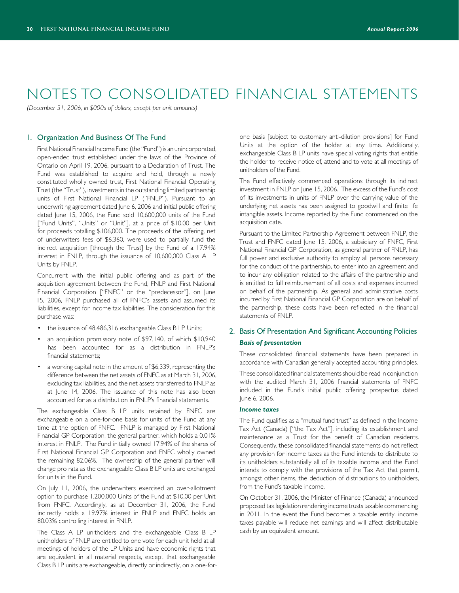# NOTES TO CONSOLIDATED FINANCIAL STATEMENTS

*(December 31, 2006, in \$000s of dollars, except per unit amounts)*

### 1. Organization And Business Of The Fund

First National Financial Income Fund (the "Fund") is an unincorporated, open-ended trust established under the laws of the Province of Ontario on April 19, 2006, pursuant to a Declaration of Trust. The Fund was established to acquire and hold, through a newly constituted wholly owned trust, First National Financial Operating Trust (the "Trust"), investments in the outstanding limited partnership units of First National Financial LP ("FNLP"). Pursuant to an underwriting agreement dated June 6, 2006 and initial public offering dated June 15, 2006, the Fund sold 10,600,000 units of the Fund ["Fund Units", "Units" or "Unit"], at a price of \$10.00 per Unit for proceeds totalling \$106,000. The proceeds of the offering, net of underwriters fees of \$6,360, were used to partially fund the indirect acquisition [through the Trust] by the Fund of a 17.94% interest in FNLP, through the issuance of 10,600,000 Class A LP Units by FNLP.

Concurrent with the initial public offering and as part of the acquisition agreement between the Fund, FNLP and First National Financial Corporation ["FNFC" or the "predecessor"], on June 15, 2006, FNLP purchased all of FNFC's assets and assumed its liabilities, except for income tax liabilities. The consideration for this purchase was:

- the issuance of 48,486,316 exchangeable Class B LP Units;
- an acquisition promissory note of \$97,140, of which \$10,940 has been accounted for as a distribution in FNLP's financial statements; •
- a working capital note in the amount of \$6,339, representing the difference between the net assets of FNFC as at March 31, 2006, excluding tax liabilities, and the net assets transferred to FNLP as at June 14, 2006. The issuance of this note has also been accounted for as a distribution in FNLP's financial statements.

The exchangeable Class B LP units retained by FNFC are exchangeable on a one-for-one basis for units of the Fund at any time at the option of FNFC. FNLP is managed by First National Financial GP Corporation, the general partner, which holds a 0.01% interest in FNLP. The Fund initially owned 17.94% of the shares of First National Financial GP Corporation and FNFC wholly owned the remaining 82.06%. The ownership of the general partner will change pro rata as the exchangeable Class B LP units are exchanged for units in the Fund.

On July 11, 2006, the underwriters exercised an over-allotment option to purchase 1,200,000 Units of the Fund at \$10.00 per Unit from FNFC. Accordingly, as at December 31, 2006, the Fund indirectly holds a 19.97% interest in FNLP and FNFC holds an 80.03% controlling interest in FNLP.

The Class A LP unitholders and the exchangeable Class B LP unitholders of FNLP are entitled to one vote for each unit held at all meetings of holders of the LP Units and have economic rights that are equivalent in all material respects, except that exchangeable Class B LP units are exchangeable, directly or indirectly, on a one-for-

one basis [subject to customary anti-dilution provisions] for Fund Units at the option of the holder at any time. Additionally, exchangeable Class B LP units have special voting rights that entitle the holder to receive notice of, attend and to vote at all meetings of unitholders of the Fund.

The Fund effectively commenced operations through its indirect investment in FNLP on June 15, 2006. The excess of the Fund's cost of its investments in units of FNLP over the carrying value of the underlying net assets has been assigned to goodwill and finite life intangible assets. Income reported by the Fund commenced on the acquisition date.

Pursuant to the Limited Partnership Agreement between FNLP, the Trust and FNFC dated June 15, 2006, a subsidiary of FNFC, First National Financial GP Corporation, as general partner of FNLP, has full power and exclusive authority to employ all persons necessary for the conduct of the partnership, to enter into an agreement and to incur any obligation related to the affairs of the partnership and is entitled to full reimbursement of all costs and expenses incurred on behalf of the partnership. As general and administrative costs incurred by First National Financial GP Corporation are on behalf of the partnership, these costs have been reflected in the financial statements of FNLP.

## 2. Basis Of Presentation And Significant Accounting Policies *Basis of presentation*

These consolidated financial statements have been prepared in accordance with Canadian generally accepted accounting principles.

These consolidated financial statements should be read in conjunction with the audited March 31, 2006 financial statements of FNFC included in the Fund's initial public offering prospectus dated June 6, 2006.

#### *Income taxes*

The Fund qualifies as a "mutual fund trust" as defined in the Income Tax Act (Canada) ["the Tax Act"], including its establishment and maintenance as a Trust for the benefit of Canadian residents. Consequently, these consolidated financial statements do not reflect any provision for income taxes as the Fund intends to distribute to its unitholders substantially all of its taxable income and the Fund intends to comply with the provisions of the Tax Act that permit, amongst other items, the deduction of distributions to unitholders, from the Fund's taxable income.

On October 31, 2006, the Minister of Finance (Canada) announced proposed tax legislation rendering income trusts taxable commencing in 2011. In the event the Fund becomes a taxable entity, income taxes payable will reduce net earnings and will affect distributable cash by an equivalent amount.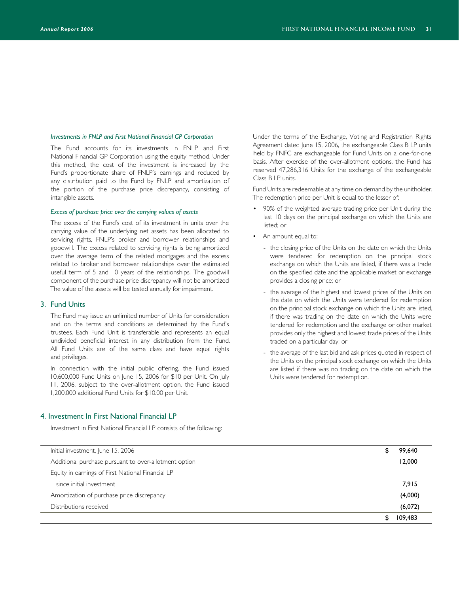#### *Investments in FNLP and First National Financial GP Corporation*

The Fund accounts for its investments in FNLP and First National Financial GP Corporation using the equity method. Under this method, the cost of the investment is increased by the Fund's proportionate share of FNLP's earnings and reduced by any distribution paid to the Fund by FNLP and amortization of the portion of the purchase price discrepancy, consisting of intangible assets.

#### *Excess of purchase price over the carrying values of assets*

The excess of the Fund's cost of its investment in units over the carrying value of the underlying net assets has been allocated to servicing rights, FNLP's broker and borrower relationships and goodwill. The excess related to servicing rights is being amortized over the average term of the related mortgages and the excess related to broker and borrower relationships over the estimated useful term of 5 and 10 years of the relationships. The goodwill component of the purchase price discrepancy will not be amortized The value of the assets will be tested annually for impairment.

#### 3. Fund Units

The Fund may issue an unlimited number of Units for consideration and on the terms and conditions as determined by the Fund's trustees. Each Fund Unit is transferable and represents an equal undivided beneficial interest in any distribution from the Fund. All Fund Units are of the same class and have equal rights and privileges.

In connection with the initial public offering, the Fund issued 10,600,000 Fund Units on June 15, 2006 for \$10 per Unit. On July 11, 2006, subject to the over-allotment option, the Fund issued 1,200,000 additional Fund Units for \$10.00 per Unit.

#### 4. Investment In First National Financial LP

Investment in First National Financial LP consists of the following:

Under the terms of the Exchange, Voting and Registration Rights Agreement dated June 15, 2006, the exchangeable Class B LP units held by FNFC are exchangeable for Fund Units on a one-for-one basis. After exercise of the over-allotment options, the Fund has reserved 47,286,316 Units for the exchange of the exchangeable Class B LP units.

Fund Units are redeemable at any time on demand by the unitholder. The redemption price per Unit is equal to the lesser of:

- 90% of the weighted average trading price per Unit during the last 10 days on the principal exchange on which the Units are listed; or •
- An amount equal to:
	- the closing price of the Units on the date on which the Units were tendered for redemption on the principal stock exchange on which the Units are listed, if there was a trade on the specified date and the applicable market or exchange provides a closing price; or
	- the average of the highest and lowest prices of the Units on the date on which the Units were tendered for redemption on the principal stock exchange on which the Units are listed, if there was trading on the date on which the Units were tendered for redemption and the exchange or other market provides only the highest and lowest trade prices of the Units traded on a particular day; or
	- the average of the last bid and ask prices quoted in respect of the Units on the principal stock exchange on which the Units are listed if there was no trading on the date on which the Units were tendered for redemption.

| Initial investment, June 15, 2006                     | \$<br>99,640 |
|-------------------------------------------------------|--------------|
| Additional purchase pursuant to over-allotment option | 12,000       |
| Equity in earnings of First National Financial LP     |              |
| since initial investment                              | 7,915        |
| Amortization of purchase price discrepancy            | (4,000)      |
| Distributions received                                | (6,072)      |
|                                                       | 109,483      |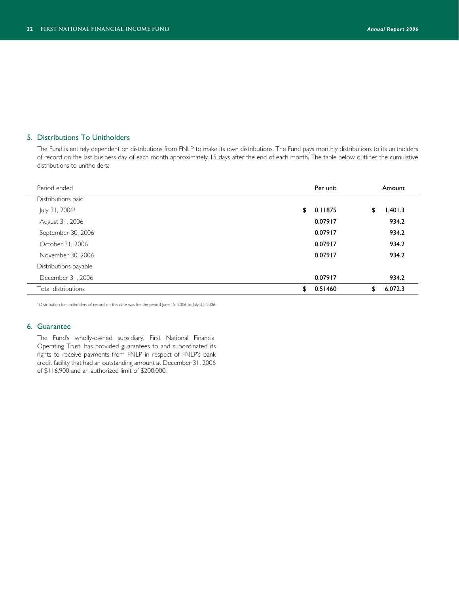### 5. Distributions To Unitholders

The Fund is entirely dependent on distributions from FNLP to make its own distributions. The Fund pays monthly distributions to its unitholders of record on the last business day of each month approximately 15 days after the end of each month. The table below outlines the cumulative distributions to unitholders:

| Period ended               | Per unit      | Amount        |
|----------------------------|---------------|---------------|
| Distributions paid         |               |               |
| July 31, 2006 <sup>1</sup> | \$<br>0.11875 | \$<br>1,401.3 |
| August 31, 2006            | 0.07917       | 934.2         |
| September 30, 2006         | 0.07917       | 934.2         |
| October 31, 2006           | 0.07917       | 934.2         |
| November 30, 2006          | 0.07917       | 934.2         |
| Distributions payable      |               |               |
| December 31, 2006          | 0.07917       | 934.2         |
| Total distributions        | \$<br>0.51460 | \$<br>6,072.3 |

<sup>1</sup> Distribution for unitholders of record on this date was for the period June 15, 2006 to July 31, 2006.

### 6. Guarantee

The Fund's wholly-owned subsidiary, First National Financial Operating Trust, has provided guarantees to and subordinated its rights to receive payments from FNLP in respect of FNLP's bank credit facility that had an outstanding amount at December 31, 2006 of \$116,900 and an authorized limit of \$200,000.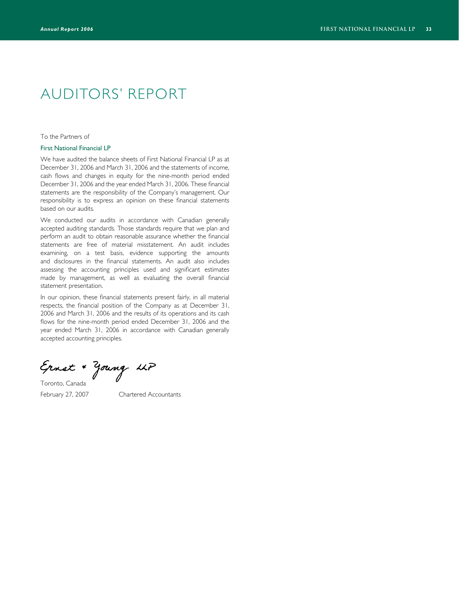## AUDITORS' REPORT

To the Partners of

#### First National Financial LP

We have audited the balance sheets of First National Financial LP as at December 31, 2006 and March 31, 2006 and the statements of income, cash flows and changes in equity for the nine-month period ended December 31, 2006 and the year ended March 31, 2006. These financial statements are the responsibility of the Company's management. Our responsibility is to express an opinion on these financial statements based on our audits.

We conducted our audits in accordance with Canadian generally accepted auditing standards. Those standards require that we plan and perform an audit to obtain reasonable assurance whether the financial statements are free of material misstatement. An audit includes examining, on a test basis, evidence supporting the amounts and disclosures in the financial statements. An audit also includes assessing the accounting principles used and significant estimates made by management, as well as evaluating the overall financial statement presentation.

In our opinion, these financial statements present fairly, in all material respects, the financial position of the Company as at December 31, 2006 and March 31, 2006 and the results of its operations and its cash flows for the nine-month period ended December 31, 2006 and the year ended March 31, 2006 in accordance with Canadian generally accepted accounting principles.

Ernst & Young LLP

February 27, 2007 Chartered Accountants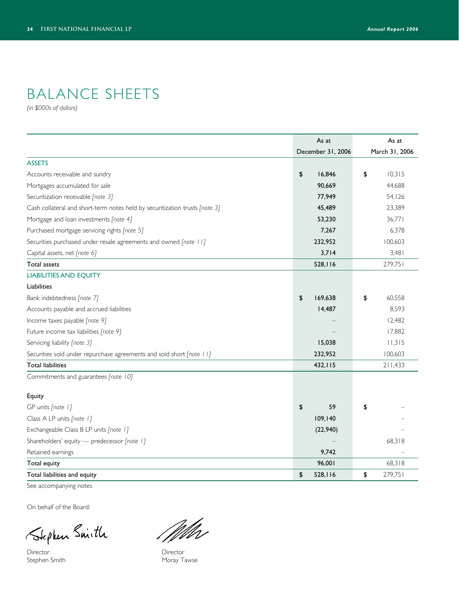# BALANCE SHEETS

*(in \$000s of dollars)*

|                                                                             | As at             | As at          |
|-----------------------------------------------------------------------------|-------------------|----------------|
|                                                                             | December 31, 2006 | March 31, 2006 |
| <b>ASSETS</b>                                                               |                   |                |
| Accounts receivable and sundry                                              | \$<br>16,846      | 10,315<br>\$   |
| Mortgages accumulated for sale                                              | 90,669            | 44,688         |
| Securitization receivable [note 3]                                          | 77,949            | 54,126         |
| Cash collateral and short-term notes held by securitization trusts [note 3] | 45,489            | 23,389         |
| Mortgage and loan investments [note 4]                                      | 53,230            | 36,771         |
| Purchased mortgage servicing rights [note 5]                                | 7,267             | 6,378          |
| Securities purchased under resale agreements and owned [note 11]            | 232,952           | 100,603        |
| Capital assets, net [note 6]                                                | 3,714             | 3,481          |
| Total assets                                                                | 528,116           | 279,751        |
| <b>LIABILITIES AND EQUITY</b>                                               |                   |                |
| Liabilities                                                                 |                   |                |
| Bank indebtedness [note 7]                                                  | 169,638<br>\$     | 60,558<br>\$   |
| Accounts payable and accrued liabilities                                    | 14,487            | 8,593          |
| Income taxes payable [note 9]                                               |                   | 12,482         |
| Future income tax liabilities [note 9]                                      |                   | 17,882         |
| Servicing liability [note 3]                                                | 15,038            | 11,315         |
| Securities sold under repurchase agreements and sold short [note 11]        | 232,952           | 100,603        |
| <b>Total liabilities</b>                                                    | 432, I I 5        | 211,433        |
| Commitments and guarantees [note 10]                                        |                   |                |
| Equity                                                                      |                   |                |
| GP units [note 1]                                                           | \$<br>59          | \$             |
| Class A LP units [note 1]                                                   | 109,140           |                |
| Exchangeable Class B LP units [note 1]                                      | (22,940)          |                |
| Shareholders' equity - predecessor [note 1]                                 |                   | 68,318         |
| Retained earnings                                                           | 9,742             |                |
| Total equity                                                                | 96,001            | 68,318         |
| Total liabilities and equity                                                | \$<br>528,116     | 279,751<br>\$  |

See accompanying notes

On behalf of the Board:

Stephen Smith

Director Director

Wh

Stephen Smith Moray Tawse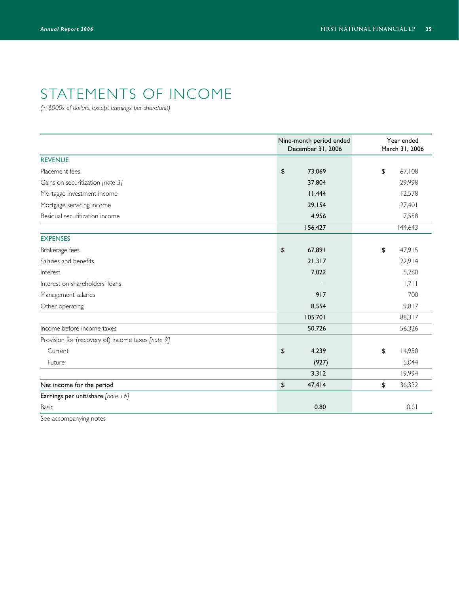# STATEMENTS OF INCOME

*(in \$000s of dollars, except earnings per share/unit)*

|                                                   | Nine-month period ended<br>December 31, 2006 | Year ended<br>March 31, 2006 |
|---------------------------------------------------|----------------------------------------------|------------------------------|
| <b>REVENUE</b>                                    |                                              |                              |
| Placement fees                                    | \$<br>73,069                                 | \$<br>67,108                 |
| Gains on securitization [note 3]                  | 37,804                                       | 29,998                       |
| Mortgage investment income                        | 11,444                                       | 12,578                       |
| Mortgage servicing income                         | 29,154                                       | 27,401                       |
| Residual securitization income                    | 4,956                                        | 7,558                        |
|                                                   | 156,427                                      | 144,643                      |
| <b>EXPENSES</b>                                   |                                              |                              |
| Brokerage fees                                    | 67,891<br>\$                                 | 47,915<br>\$                 |
| Salaries and benefits                             | 21,317                                       | 22,914                       |
| Interest                                          | 7,022                                        | 5,260                        |
| Interest on shareholders' loans                   |                                              | 1,711                        |
| Management salaries                               | 917                                          | 700                          |
| Other operating                                   | 8,554                                        | 9,817                        |
|                                                   | 105,701                                      | 88,317                       |
| Income before income taxes                        | 50,726                                       | 56,326                       |
| Provision for (recovery of) income taxes [note 9] |                                              |                              |
| Current                                           | \$<br>4,239                                  | 14,950<br>\$                 |
| Future                                            | (927)                                        | 5,044                        |
|                                                   | 3,312                                        | 19,994                       |
| Net income for the period                         | \$<br>47,414                                 | 36,332<br>\$                 |
| Earnings per unit/share [note 16]                 |                                              |                              |
| <b>Basic</b>                                      | 0.80                                         | 0.61                         |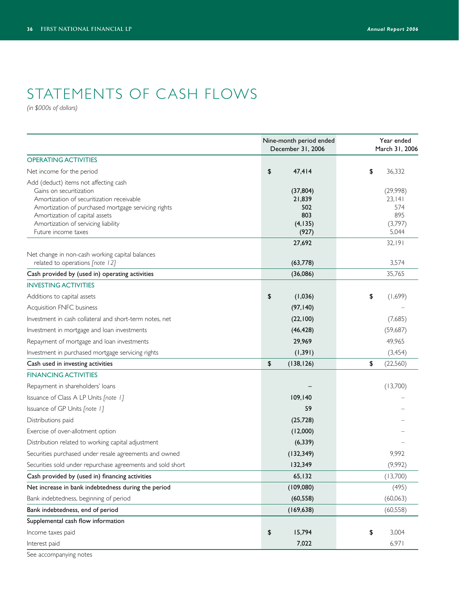# STATEMENTS OF CASH FLOWS

*(in \$000s of dollars)*

|                                                                                                                                                                                                                                                                      | Nine-month period ended<br>December 31, 2006           |                                                      |
|----------------------------------------------------------------------------------------------------------------------------------------------------------------------------------------------------------------------------------------------------------------------|--------------------------------------------------------|------------------------------------------------------|
| <b>OPERATING ACTIVITIES</b>                                                                                                                                                                                                                                          |                                                        |                                                      |
| Net income for the period                                                                                                                                                                                                                                            | 47,414<br>\$                                           | \$<br>36,332                                         |
| Add (deduct) items not affecting cash<br>Gains on securitization<br>Amortization of securitization receivable<br>Amortization of purchased mortgage servicing rights<br>Amortization of capital assets<br>Amortization of servicing liability<br>Future income taxes | (37, 804)<br>21,839<br>502<br>803<br>(4, 135)<br>(927) | (29,998)<br>23,141<br>574<br>895<br>(3,797)<br>5,044 |
|                                                                                                                                                                                                                                                                      | 27,692                                                 | 32,191                                               |
| Net change in non-cash working capital balances<br>related to operations [note 12]                                                                                                                                                                                   | (63, 778)                                              | 3,574                                                |
| Cash provided by (used in) operating activities                                                                                                                                                                                                                      | (36,086)                                               | 35,765                                               |
| <b>INVESTING ACTIVITIES</b>                                                                                                                                                                                                                                          |                                                        |                                                      |
| Additions to capital assets                                                                                                                                                                                                                                          | \$<br>(1,036)                                          | \$<br>(1,699)                                        |
| Acquisition FNFC business                                                                                                                                                                                                                                            | (97, 140)                                              |                                                      |
| Investment in cash collateral and short-term notes, net                                                                                                                                                                                                              | (22, 100)                                              | (7,685)                                              |
| Investment in mortgage and loan investments                                                                                                                                                                                                                          | (46, 428)                                              | (59,687)                                             |
| Repayment of mortgage and loan investments                                                                                                                                                                                                                           | 29,969                                                 | 49,965                                               |
| Investment in purchased mortgage servicing rights                                                                                                                                                                                                                    | (1, 391)                                               | (3, 454)                                             |
| Cash used in investing activities                                                                                                                                                                                                                                    | \$<br>(138, 126)                                       | \$<br>(22, 560)                                      |
| <b>FINANCING ACTIVITIES</b>                                                                                                                                                                                                                                          |                                                        |                                                      |
| Repayment in shareholders' loans                                                                                                                                                                                                                                     |                                                        | (13,700)                                             |
| Issuance of Class A LP Units [note 1]                                                                                                                                                                                                                                | 109,140                                                |                                                      |
| Issuance of GP Units [note 1]                                                                                                                                                                                                                                        | 59                                                     |                                                      |
| Distributions paid                                                                                                                                                                                                                                                   | (25, 728)                                              |                                                      |
| Exercise of over-allotment option                                                                                                                                                                                                                                    | (12,000)                                               |                                                      |
| Distribution related to working capital adjustment                                                                                                                                                                                                                   | (6, 339)                                               |                                                      |
| Securities purchased under resale agreements and owned                                                                                                                                                                                                               | (132, 349)                                             | 9,992                                                |
| Securities sold under repurchase agreements and sold short                                                                                                                                                                                                           | 132,349                                                | (9,992)                                              |
| Cash provided by (used in) financing activities                                                                                                                                                                                                                      | 65,132                                                 | (13,700)                                             |
| Net increase in bank indebtedness during the period                                                                                                                                                                                                                  | (109,080)                                              | (495)                                                |
| Bank indebtedness, beginning of period                                                                                                                                                                                                                               | (60, 558)                                              | (60,063)                                             |
| Bank indebtedness, end of period                                                                                                                                                                                                                                     | (169, 638)                                             | (60, 558)                                            |
| Supplemental cash flow information                                                                                                                                                                                                                                   |                                                        |                                                      |
| Income taxes paid                                                                                                                                                                                                                                                    | 15,794<br>\$                                           | 3,004<br>\$                                          |
| Interest paid                                                                                                                                                                                                                                                        | 7,022                                                  | 6,971                                                |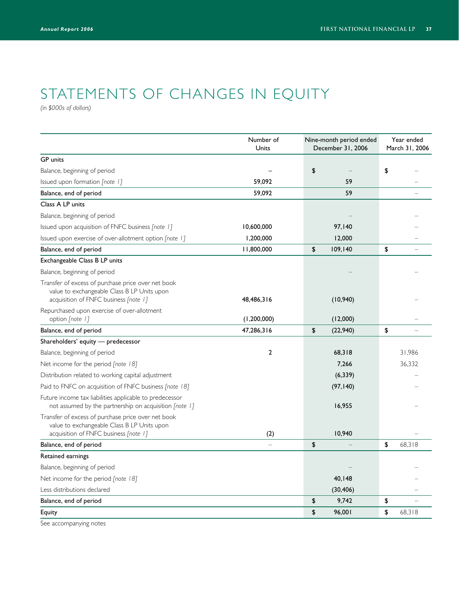# STATEMENTS OF CHANGES IN EQUITY

*(in \$000s of dollars)*

|                                                                                                                                            | Number of<br>Units | Nine-month period ended<br>December 31, 2006 | Year ended<br>March 31, 2006 |  |
|--------------------------------------------------------------------------------------------------------------------------------------------|--------------------|----------------------------------------------|------------------------------|--|
| <b>GP</b> units                                                                                                                            |                    |                                              |                              |  |
| Balance, beginning of period                                                                                                               |                    | \$                                           | \$                           |  |
| Issued upon formation [note 1]                                                                                                             | 59,092             | 59                                           |                              |  |
| Balance, end of period                                                                                                                     | 59,092             | 59                                           |                              |  |
| Class A LP units                                                                                                                           |                    |                                              |                              |  |
| Balance, beginning of period                                                                                                               |                    |                                              |                              |  |
| Issued upon acquisition of FNFC business [note 1]                                                                                          | 10,600,000         | 97,140                                       |                              |  |
| Issued upon exercise of over-allotment option [note 1]                                                                                     | 1,200,000          | 12,000                                       |                              |  |
| Balance, end of period                                                                                                                     | 11,800,000         | 109,140<br>\$                                | \$                           |  |
| Exchangeable Class B LP units                                                                                                              |                    |                                              |                              |  |
| Balance, beginning of period                                                                                                               |                    |                                              |                              |  |
| Transfer of excess of purchase price over net book<br>value to exchangeable Class B LP Units upon<br>acquisition of FNFC business [note 1] | 48,486,316         | (10, 940)                                    |                              |  |
| Repurchased upon exercise of over-allotment<br>option [note 1]                                                                             | (1,200,000)        | (12,000)                                     |                              |  |
| Balance, end of period                                                                                                                     | 47,286,316         | \$<br>(22, 940)                              | \$                           |  |
| Shareholders' equity - predecessor                                                                                                         |                    |                                              |                              |  |
| Balance, beginning of period                                                                                                               | 2                  | 68,318                                       | 31,986                       |  |
| Net income for the period [note 18]                                                                                                        |                    | 7,266                                        | 36,332                       |  |
| Distribution related to working capital adjustment                                                                                         |                    | (6, 339)                                     |                              |  |
| Paid to FNFC on acquisition of FNFC business [note 18]                                                                                     |                    | (97, 140)                                    |                              |  |
| Future income tax liabilities applicable to predecessor<br>not assumed by the partnership on acquisition [note 1]                          |                    | 16,955                                       |                              |  |
| Transfer of excess of purchase price over net book<br>value to exchangeable Class B LP Units upon<br>acquisition of FNFC business [note 1] | (2)                | 10,940                                       |                              |  |
| Balance, end of period                                                                                                                     |                    | \$                                           | \$<br>68,318                 |  |
| Retained earnings                                                                                                                          |                    |                                              |                              |  |
| Balance, beginning of period                                                                                                               |                    |                                              |                              |  |
| Net income for the period $[note 18]$                                                                                                      |                    | 40,148                                       |                              |  |
| Less distributions declared                                                                                                                |                    | (30, 406)                                    |                              |  |
| Balance, end of period                                                                                                                     |                    | 9,742<br>\$                                  | \$                           |  |
| Equity                                                                                                                                     |                    | \$<br>96,001                                 | \$<br>68,318                 |  |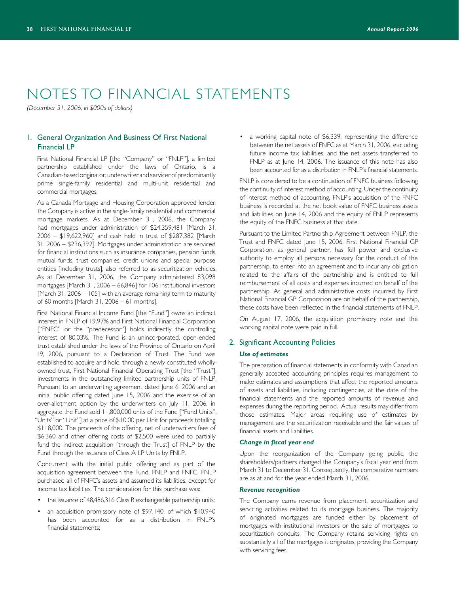# NOTES TO FINANCIAL STATEMENTS

*(December 31, 2006, in \$000s of dollars)*

## 1. General Organization And Business Of First National Financial LP

First National Financial LP [the "Company" or "FNLP"], a limited partnership established under the laws of Ontario, is a Canadian-based originator, underwriter and servicer of predominantly prime single-family residential and multi-unit residential and commercial mortgages.

As a Canada Mortgage and Housing Corporation approved lender, the Company is active in the single-family residential and commercial mortgage markets. As at December 31, 2006, the Company had mortgages under administration of \$24,359,481 [March 31, 2006 – \$19,622,960] and cash held in trust of \$287,382 [March 31, 2006 – \$236,392]. Mortgages under administration are serviced for financial institutions such as insurance companies, pension funds, mutual funds, trust companies, credit unions and special purpose entities [including trusts], also referred to as securitization vehicles. As at December 31, 2006, the Company administered 83,098 mortgages [March 31, 2006 – 66,846] for 106 institutional investors [March 31, 2006 – 105] with an average remaining term to maturity of 60 months [March 31, 2006 – 61 months].

First National Financial Income Fund [the "Fund"] owns an indirect interest in FNLP of 19.97% and First National Financial Corporation ["FNFC" or the "predecessor"] holds indirectly the controlling interest of 80.03%. The Fund is an unincorporated, open-ended trust established under the laws of the Province of Ontario on April 19, 2006, pursuant to a Declaration of Trust. The Fund was established to acquire and hold, through a newly constituted whollyowned trust, First National Financial Operating Trust [the "Trust"], investments in the outstanding limited partnership units of FNLP. Pursuant to an underwriting agreement dated June 6, 2006 and an initial public offering dated June 15, 2006 and the exercise of an over-allotment option by the underwriters on July 11, 2006, in aggregate the Fund sold 11,800,000 units of the Fund ["Fund Units", "Units" or "Unit"] at a price of \$10.00 per Unit for proceeds totalling \$118,000. The proceeds of the offering, net of underwriters fees of \$6,360 and other offering costs of \$2,500 were used to partially fund the indirect acquisition [through the Trust] of FNLP by the Fund through the issuance of Class A LP Units by FNLP.

Concurrent with the initial public offering and as part of the acquisition agreement between the Fund, FNLP and FNFC, FNLP purchased all of FNFC's assets and assumed its liabilities, except for income tax liabilities. The consideration for this purchase was:

- the issuance of 48,486,316 Class B exchangeable partnership units;
- an acquisition promissory note of \$97,140, of which \$10,940 has been accounted for as a distribution in FNLP's financial statements; •

• a working capital note of \$6,339, representing the difference between the net assets of FNFC as at March 31, 2006, excluding future income tax liabilities, and the net assets transferred to FNLP as at June 14, 2006. The issuance of this note has also been accounted for as a distribution in FNLP's financial statements.

FNLP is considered to be a continuation of FNFC business following the continuity of interest method of accounting. Under the continuity of interest method of accounting, FNLP's acquisition of the FNFC business is recorded at the net book value of FNFC business assets and liabilities on June 14, 2006 and the equity of FNLP represents the equity of the FNFC business at that date.

Pursuant to the Limited Partnership Agreement between FNLP, the Trust and FNFC dated June 15, 2006, First National Financial GP Corporation, as general partner, has full power and exclusive authority to employ all persons necessary for the conduct of the partnership, to enter into an agreement and to incur any obligation related to the affairs of the partnership and is entitled to full reimbursement of all costs and expenses incurred on behalf of the partnership. As general and administrative costs incurred by First National Financial GP Corporation are on behalf of the partnership, these costs have been reflected in the financial statements of FNLP.

On August 17, 2006, the acquisition promissory note and the working capital note were paid in full.

#### 2. Significant Accounting Policies

#### *Use of estimates*

The preparation of financial statements in conformity with Canadian generally accepted accounting principles requires management to make estimates and assumptions that affect the reported amounts of assets and liabilities, including contingencies, at the date of the financial statements and the reported amounts of revenue and expenses during the reporting period. Actual results may differ from those estimates. Major areas requiring use of estimates by management are the securitization receivable and the fair values of financial assets and liabilities.

#### *Change in fiscal year end*

Upon the reorganization of the Company going public, the shareholders/partners changed the Company's fiscal year end from March 31 to December 31. Consequently, the comparative numbers are as at and for the year ended March 31, 2006.

#### *Revenue recognition*

The Company earns revenue from placement, securitization and servicing activities related to its mortgage business. The majority of originated mortgages are funded either by placement of mortgages with institutional investors or the sale of mortgages to securitization conduits. The Company retains servicing rights on substantially all of the mortgages it originates, providing the Company with servicing fees.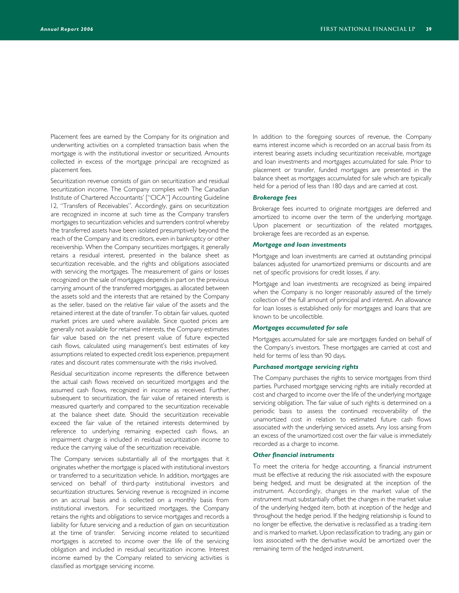Placement fees are earned by the Company for its origination and underwriting activities on a completed transaction basis when the mortgage is with the institutional investor or securitized. Amounts collected in excess of the mortgage principal are recognized as placement fees.

Securitization revenue consists of gain on securitization and residual securitization income. The Company complies with The Canadian Institute of Chartered Accountants' ["CICA"] Accounting Guideline 12, "Transfers of Receivables". Accordingly, gains on securitization are recognized in income at such time as the Company transfers mortgages to securitization vehicles and surrenders control whereby the transferred assets have been isolated presumptively beyond the reach of the Company and its creditors, even in bankruptcy or other receivership. When the Company securitizes mortgages, it generally retains a residual interest, presented in the balance sheet as securitization receivable, and the rights and obligations associated with servicing the mortgages. The measurement of gains or losses recognized on the sale of mortgages depends in part on the previous carrying amount of the transferred mortgages, as allocated between the assets sold and the interests that are retained by the Company as the seller, based on the relative fair value of the assets and the retained interest at the date of transfer. To obtain fair values, quoted market prices are used where available. Since quoted prices are generally not available for retained interests, the Company estimates fair value based on the net present value of future expected cash flows, calculated using management's best estimates of key assumptions related to expected credit loss experience, prepayment rates and discount rates commensurate with the risks involved.

Residual securitization income represents the difference between the actual cash flows received on securitized mortgages and the assumed cash flows, recognized in income as received. Further, subsequent to securitization, the fair value of retained interests is measured quarterly and compared to the securitization receivable at the balance sheet date. Should the securitization receivable exceed the fair value of the retained interests determined by reference to underlying remaining expected cash flows, an impairment charge is included in residual securitization income to reduce the carrying value of the securitization receivable.

The Company services substantially all of the mortgages that it originates whether the mortgage is placed with institutional investors or transferred to a securitization vehicle. In addition, mortgages are serviced on behalf of third-party institutional investors and securitization structures. Servicing revenue is recognized in income on an accrual basis and is collected on a monthly basis from institutional investors. For securitized mortgages, the Company retains the rights and obligations to service mortgages and records a liability for future servicing and a reduction of gain on securitization at the time of transfer. Servicing income related to securitized mortgages is accreted to income over the life of the servicing obligation and included in residual securitization income. Interest income earned by the Company related to servicing activities is classified as mortgage servicing income.

In addition to the foregoing sources of revenue, the Company earns interest income which is recorded on an accrual basis from its interest bearing assets including securitization receivable, mortgage and loan investments and mortgages accumulated for sale. Prior to placement or transfer, funded mortgages are presented in the balance sheet as mortgages accumulated for sale which are typically held for a period of less than 180 days and are carried at cost.

### *Brokerage fees*

Brokerage fees incurred to originate mortgages are deferred and amortized to income over the term of the underlying mortgage. Upon placement or securitization of the related mortgages, brokerage fees are recorded as an expense.

#### *Mortgage and loan investments*

Mortgage and loan investments are carried at outstanding principal balances adjusted for unamortized premiums or discounts and are net of specific provisions for credit losses, if any.

Mortgage and loan investments are recognized as being impaired when the Company is no longer reasonably assured of the timely collection of the full amount of principal and interest. An allowance for loan losses is established only for mortgages and loans that are known to be uncollectible.

#### *Mortgages accumulated for sale*

Mortgages accumulated for sale are mortgages funded on behalf of the Company's investors. These mortgages are carried at cost and held for terms of less than 90 days.

#### *Purchased mortgage servicing rights*

The Company purchases the rights to service mortgages from third parties. Purchased mortgage servicing rights are initially recorded at cost and charged to income over the life of the underlying mortgage servicing obligation. The fair value of such rights is determined on a periodic basis to assess the continued recoverability of the unamortized cost in relation to estimated future cash flows associated with the underlying serviced assets. Any loss arising from an excess of the unamortized cost over the fair value is immediately recorded as a charge to income.

#### *Other financial instruments*

To meet the criteria for hedge accounting, a financial instrument must be effective at reducing the risk associated with the exposure being hedged, and must be designated at the inception of the instrument. Accordingly, changes in the market value of the instrument must substantially offset the changes in the market value of the underlying hedged item, both at inception of the hedge and throughout the hedge period. If the hedging relationship is found to no longer be effective, the derivative is reclassified as a trading item and is marked to market. Upon reclassification to trading, any gain or loss associated with the derivative would be amortized over the remaining term of the hedged instrument.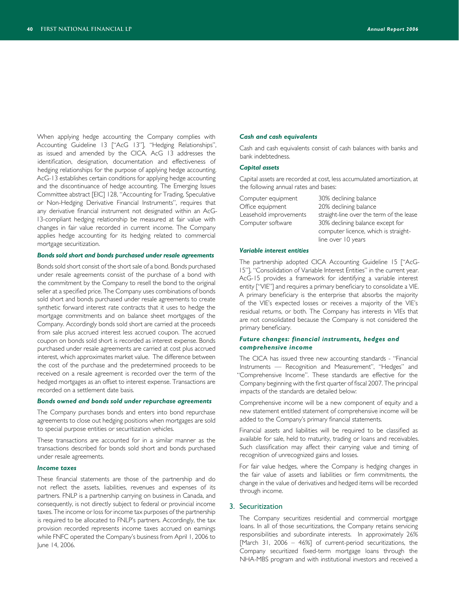When applying hedge accounting the Company complies with Accounting Guideline 13 ["AcG 13"], "Hedging Relationships", as issued and amended by the CICA. AcG 13 addresses the identification, designation, documentation and effectiveness of hedging relationships for the purpose of applying hedge accounting. AcG-13 establishes certain conditions for applying hedge accounting and the discontinuance of hedge accounting. The Emerging Issues Committee abstract [EIC] 128, "Accounting for Trading, Speculative or Non-Hedging Derivative Financial Instruments", requires that any derivative financial instrument not designated within an AcG-13-compliant hedging relationship be measured at fair value with changes in fair value recorded in current income. The Company applies hedge accounting for its hedging related to commercial mortgage securitization.

#### *Bonds sold short and bonds purchased under resale agreements*

Bonds sold short consist of the short sale of a bond. Bonds purchased under resale agreements consist of the purchase of a bond with the commitment by the Company to resell the bond to the original seller at a specified price. The Company uses combinations of bonds sold short and bonds purchased under resale agreements to create synthetic forward interest rate contracts that it uses to hedge the mortgage commitments and on balance sheet mortgages of the Company. Accordingly bonds sold short are carried at the proceeds from sale plus accrued interest less accrued coupon. The accrued coupon on bonds sold short is recorded as interest expense. Bonds purchased under resale agreements are carried at cost plus accrued interest, which approximates market value. The difference between the cost of the purchase and the predetermined proceeds to be received on a resale agreement is recorded over the term of the hedged mortgages as an offset to interest expense. Transactions are recorded on a settlement date basis.

#### *Bonds owned and bonds sold under repurchase agreements*

The Company purchases bonds and enters into bond repurchase agreements to close out hedging positions when mortgages are sold to special purpose entities or securitization vehicles.

These transactions are accounted for in a similar manner as the transactions described for bonds sold short and bonds purchased under resale agreements.

#### *Income taxes*

These financial statements are those of the partnership and do not reflect the assets, liabilities, revenues and expenses of its partners. FNLP is a partnership carrying on business in Canada, and consequently, is not directly subject to federal or provincial income taxes. The income or loss for income tax purposes of the partnership is required to be allocated to FNLP's partners. Accordingly, the tax provision recorded represents income taxes accrued on earnings while FNFC operated the Company's business from April 1, 2006 to June 14, 2006.

#### *Cash and cash equivalents*

Cash and cash equivalents consist of cash balances with banks and bank indebtedness.

#### *Capital assets*

Capital assets are recorded at cost, less accumulated amortization, at the following annual rates and bases:

Computer equipment 30% declining balance Office equipment 20% declining balance

Leasehold improvements straight-line over the term of the lease Computer software 30% declining balance except for computer licence, which is straightline over 10 years

#### *Variable interest entities*

The partnership adopted CICA Accounting Guideline 15 ["AcG-15"], "Consolidation of Variable Interest Entities" in the current year. AcG-15 provides a framework for identifying a variable interest entity ["VIE"] and requires a primary beneficiary to consolidate a VIE. A primary beneficiary is the enterprise that absorbs the majority of the VIE's expected losses or receives a majority of the VIE's residual returns, or both. The Company has interests in VIEs that are not consolidated because the Company is not considered the primary beneficiary.

#### *Future changes: financial instruments, hedges and comprehensive income*

The CICA has issued three new accounting standards - "Financial Instruments — Recognition and Measurement", "Hedges" and "Comprehensive Income". These standards are effective for the Company beginning with the first quarter of fiscal 2007. The principal impacts of the standards are detailed below:

Comprehensive income will be a new component of equity and a new statement entitled statement of comprehensive income will be added to the Company's primary financial statements.

Financial assets and liabilities will be required to be classified as available for sale, held to maturity, trading or loans and receivables. Such classification may affect their carrying value and timing of recognition of unrecognized gains and losses.

For fair value hedges, where the Company is hedging changes in the fair value of assets and liabilities or firm commitments, the change in the value of derivatives and hedged items will be recorded through income.

#### 3. Securitization

The Company securitizes residential and commercial mortgage loans. In all of those securitizations, the Company retains servicing responsibilities and subordinate interests. In approximately 26% [March 31, 2006 – 46%] of current-period securitizations, the Company securitized fixed-term mortgage loans through the NHA-MBS program and with institutional investors and received a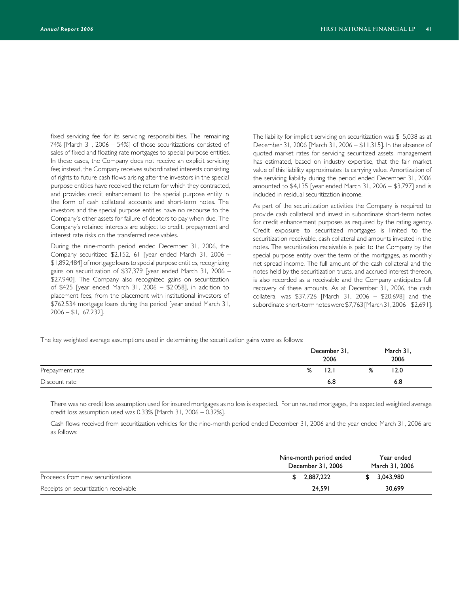fixed servicing fee for its servicing responsibilities. The remaining 74% [March 31, 2006 – 54%] of those securitizations consisted of sales of fixed and floating rate mortgages to special purpose entities. In these cases, the Company does not receive an explicit servicing fee; instead, the Company receives subordinated interests consisting of rights to future cash flows arising after the investors in the special purpose entities have received the return for which they contracted, and provides credit enhancement to the special purpose entity in the form of cash collateral accounts and short-term notes. The investors and the special purpose entities have no recourse to the Company's other assets for failure of debtors to pay when due. The Company's retained interests are subject to credit, prepayment and interest rate risks on the transferred receivables.

During the nine-month period ended December 31, 2006, the Company securitized \$2,152,161 [year ended March 31, 2006 – \$1,892,484] of mortgage loans to special purpose entities, recognizing gains on securitization of \$37,379 [year ended March 31, 2006 – \$27,940]. The Company also recognized gains on securitization of \$425 [year ended March 31, 2006 – \$2,058], in addition to placement fees, from the placement with institutional investors of \$762,534 mortgage loans during the period [year ended March 31, 2006 – \$1,167,232].

The liability for implicit servicing on securitization was \$15,038 as at December 31, 2006 [March 31, 2006 – \$11,315]. In the absence of quoted market rates for servicing securitized assets, management has estimated, based on industry expertise, that the fair market value of this liability approximates its carrying value. Amortization of the servicing liability during the period ended December 31, 2006 amounted to  $$4,135$  [year ended March 31, 2006 – \$3,797] and is included in residual securitization income.

As part of the securitization activities the Company is required to provide cash collateral and invest in subordinate short-term notes for credit enhancement purposes as required by the rating agency. Credit exposure to securitized mortgages is limited to the securitization receivable, cash collateral and amounts invested in the notes. The securitization receivable is paid to the Company by the special purpose entity over the term of the mortgages, as monthly net spread income. The full amount of the cash collateral and the notes held by the securitization trusts, and accrued interest thereon, is also recorded as a receivable and the Company anticipates full recovery of these amounts. As at December 31, 2006, the cash collateral was \$37,726 [March 31, 2006 – \$20,698] and the subordinate short-term notes were \$7,763 [March 31, 2006 – \$2,691].

The key weighted average assumptions used in determining the securitization gains were as follows:

|                 |   | December 31,<br>2006 |   | March 31,<br>2006 |  |  |
|-----------------|---|----------------------|---|-------------------|--|--|
| Prepayment rate | % | 12. I                | ℅ | 12.0              |  |  |
| Discount rate   |   | 6.8                  |   | 6.8               |  |  |

There was no credit loss assumption used for insured mortgages as no loss is expected. For uninsured mortgages, the expected weighted average credit loss assumption used was 0.33% [March 31, 2006 – 0.32%].

Cash flows received from securitization vehicles for the nine-month period ended December 31, 2006 and the year ended March 31, 2006 are as follows:

|                                       | Nine-month period ended<br>December 31, 2006 | Year ended<br>March 31, 2006 |
|---------------------------------------|----------------------------------------------|------------------------------|
| Proceeds from new securitizations     | 2.887.222                                    | 3.043.980                    |
| Receipts on securitization receivable | 24.591                                       | 30.699                       |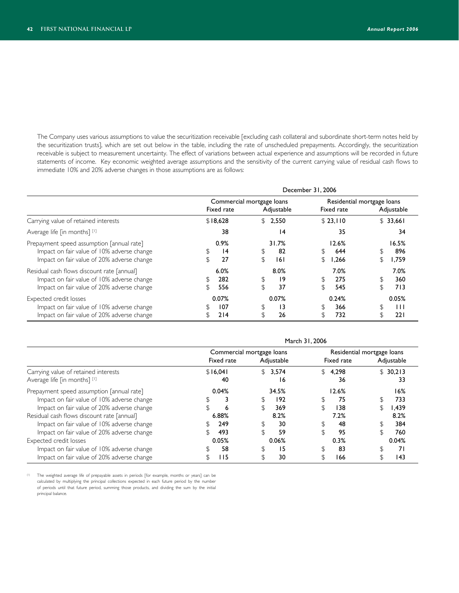The Company uses various assumptions to value the securitization receivable [excluding cash collateral and subordinate short-term notes held by the securitization trusts], which are set out below in the table, including the rate of unscheduled prepayments. Accordingly, the securitization receivable is subject to measurement uncertainty. The effect of variations between actual experience and assumptions will be recorded in future statements of income. Key economic weighted average assumptions and the sensitivity of the current carrying value of residual cash flows to immediate 10% and 20% adverse changes in those assumptions are as follows:

|                                                                                                                                        |                                | December 31, 2006                   |                                   |                                |  |  |
|----------------------------------------------------------------------------------------------------------------------------------------|--------------------------------|-------------------------------------|-----------------------------------|--------------------------------|--|--|
|                                                                                                                                        |                                | Commercial mortgage loans           |                                   | Residential mortgage loans     |  |  |
|                                                                                                                                        | Fixed rate                     | Adjustable                          | Fixed rate                        | Adjustable                     |  |  |
| Carrying value of retained interests                                                                                                   | \$18,628                       | \$2,550                             | \$23,110                          | \$33,661                       |  |  |
| Average life [in months] [1]                                                                                                           | 38                             | 4                                   | 35                                | 34                             |  |  |
| Prepayment speed assumption [annual rate]<br>Impact on fair value of 10% adverse change<br>Impact on fair value of 20% adverse change  | 0.9%<br> 4<br>\$<br>27<br>\$   | 31.7%<br>82<br>\$<br>161            | 12.6%<br>644<br>\$<br>1,266<br>\$ | 16.5%<br>896<br>\$<br>1,759    |  |  |
| Residual cash flows discount rate [annual]<br>Impact on fair value of 10% adverse change<br>Impact on fair value of 20% adverse change | 6.0%<br>282<br>\$<br>556<br>\$ | 8.0%<br>$\overline{19}$<br>37<br>\$ | 7.0%<br>275<br>\$<br>\$<br>545    | 7.0%<br>360<br>\$<br>713<br>\$ |  |  |
| Expected credit losses<br>Impact on fair value of 10% adverse change<br>Impact on fair value of 20% adverse change                     | 0.07%<br>107<br>\$<br>214      | 0.07%<br>$\overline{13}$<br>S<br>26 | 0.24%<br>366<br>\$<br>732<br>\$   | 0.05%<br>\$<br>$\perp$<br>221  |  |  |

|                                            | March 31, 2006 |                           |             |                            |  |
|--------------------------------------------|----------------|---------------------------|-------------|----------------------------|--|
|                                            |                | Commercial mortgage loans |             | Residential mortgage loans |  |
|                                            | Fixed rate     | Adjustable                | Fixed rate  | Adjustable                 |  |
| Carrying value of retained interests       | \$16,041       | 3.574<br>SF.              | 4.298<br>\$ | \$30.213                   |  |
| Average life [in months] [1]               | 40             | 16                        | 36          | 33                         |  |
| Prepayment speed assumption [annual rate]  | 0.04%          | 34.5%                     | 12.6%       | 16%                        |  |
| Impact on fair value of 10% adverse change | 3<br>S         | 192                       | 75          | 733                        |  |
| Impact on fair value of 20% adverse change | S.<br>6        | 369                       | 138<br>\$   | 1,439<br>\$.               |  |
| Residual cash flows discount rate [annual] | 6.88%          | 8.2%                      | 7.2%        | 8.2%                       |  |
| Impact on fair value of 10% adverse change | 249            | 30                        | 48<br>\$    | 384                        |  |
| Impact on fair value of 20% adverse change | 493            | 59                        | \$<br>95    | 760                        |  |
| Expected credit losses                     | 0.05%          | 0.06%                     | 0.3%        | 0.04%                      |  |
| Impact on fair value of 10% adverse change | 58             | 15                        | 83<br>\$    | 71                         |  |
| Impact on fair value of 20% adverse change | I I 5          | 30                        | 166<br>\$   | 143                        |  |

(1) The weighted average life of prepayable assets in periods [for example, months or years] can be calculated by multiplying the principal collections expected in each future period by the number of periods until that future period, summing those products, and dividing the sum by the initial principal balance.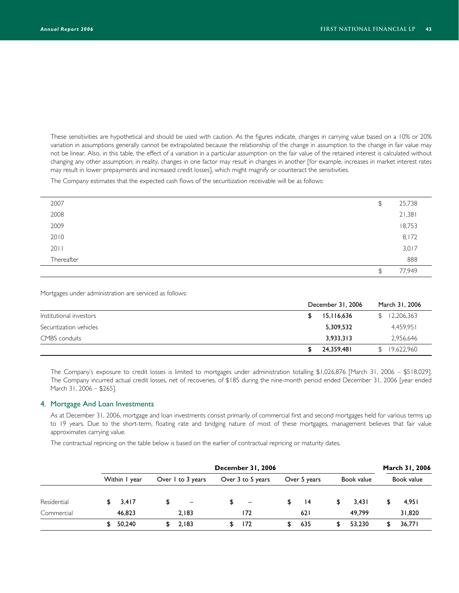These sensitivities are hypothetical and should be used with caution. As the figures indicate, changes in carrying value based on a 10% or 20% variation in assumptions generally cannot be extrapolated because the relationship of the change in assumption to the change in fair value may not be linear. Also, in this table, the effect of a variation in a particular assumption on the fair value of the retained interest is calculated without changing any other assumption; in reality, changes in one factor may result in changes in another [for example, increases in market interest rates may result in lower prepayments and increased credit losses], which might magnify or counteract the sensitivities.

The Company estimates that the expected cash flows of the securitization receivable will be as follows:

| 2007       | \$<br>25,738 |
|------------|--------------|
| 2008       | 21,381       |
| 2009       | 18,753       |
| 2010       | 8,172        |
| 2011       | 3,017        |
| Thereafter | 888          |
|            | \$<br>77,949 |

Mortgages under administration are serviced as follows:

|                         | December 31, 2006 |            |  | March 31, 2006 |
|-------------------------|-------------------|------------|--|----------------|
| Institutional investors |                   | 15,116,636 |  | 12,206,363     |
| Securitization vehicles |                   | 5,309,532  |  | 4.459.951      |
| CMBS conduits           |                   | 3,933,313  |  | 2,956,646      |
|                         |                   | 24.359.481 |  | 19.622.960     |

The Company's exposure to credit losses is limited to mortgages under administration totalling \$1,026,876 [March 31, 2006 – \$518,029]. The Company incurred actual credit losses, net of recoveries, of \$185 during the nine-month period ended December 31, 2006 [year ended March 31, 2006 – \$265].

#### 4. Mortgage And Loan Investments

As at December 31, 2006, mortgage and loan investments consist primarily of commercial first and second mortgages held for various terms up to 19 years. Due to the short-term, floating rate and bridging nature of most of these mortgages, management believes that fair value approximates carrying value.

The contractual repricing on the table below is based on the earlier of contractual repricing or maturity dates.

|             | December 31, 2006 |    |                          |  |                          |    |              |            |        |            | March 31, 2006 |
|-------------|-------------------|----|--------------------------|--|--------------------------|----|--------------|------------|--------|------------|----------------|
|             | Within I year     |    | Over 1 to 3 years        |  | Over 3 to 5 years        |    | Over 5 years | Book value |        | Book value |                |
| Residential | 3,417             | \$ | $\overline{\phantom{m}}$ |  | $\overline{\phantom{m}}$ | £. | 14           | S.         | 3.431  | \$         | 4,951          |
| Commercial  | 46,823            |    | 2.183                    |  | 172                      |    | 621          |            | 49.799 |            | 31,820         |
|             | 50,240            |    | 2.183                    |  | 172                      |    | 635          |            | 53,230 | S          | 36,771         |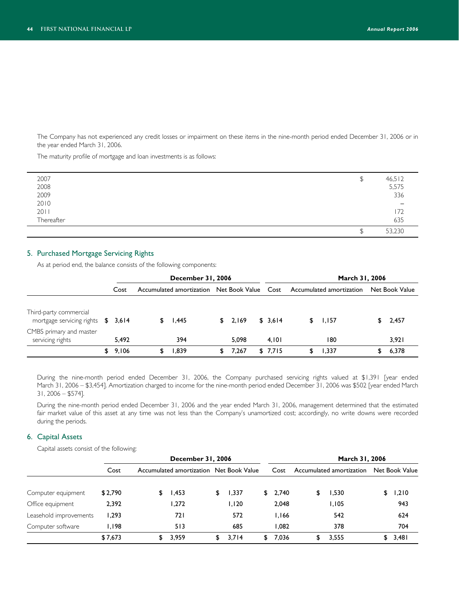The Company has not experienced any credit losses or impairment on these items in the nine-month period ended December 31, 2006 or in the year ended March 31, 2006.

The maturity profile of mortgage and loan investments is as follows:

| 2007       | \$ | 46,512 |  |
|------------|----|--------|--|
| 2008       |    | 5,575  |  |
| 2009       |    | 336    |  |
| 2010       |    |        |  |
| 2011       |    | 172    |  |
| Thereafter |    | 635    |  |
|            | ъ  | 53,230 |  |

#### 5. Purchased Mortgage Servicing Rights

As at period end, the balance consists of the following components:

|                                                              |    | December 31, 2006 |    |                                              |    |         |  |         | <b>March 31, 2006</b> |                          |  |                |
|--------------------------------------------------------------|----|-------------------|----|----------------------------------------------|----|---------|--|---------|-----------------------|--------------------------|--|----------------|
|                                                              |    | Cost              |    | Accumulated amortization Net Book Value Cost |    |         |  |         |                       | Accumulated amortization |  | Net Book Value |
| Third-party commercial<br>mortgage servicing rights \$ 3,614 |    |                   | s. | l,445                                        |    | \$2.169 |  | \$3.614 | S.                    | 1,157                    |  | 2,457          |
| CMBS primary and master<br>servicing rights                  |    | 5.492             |    | 394                                          |    | 5.098   |  | 4.101   |                       | 180                      |  | 3,921          |
|                                                              | S. | 9,106             |    | 1,839                                        | S. | 7.267   |  | \$7,715 | S                     | 1.337                    |  | 6,378          |

During the nine-month period ended December 31, 2006, the Company purchased servicing rights valued at \$1,391 [year ended March 31, 2006 – \$3,454]. Amortization charged to income for the nine-month period ended December 31, 2006 was \$502 [year ended March 31, 2006 – \$574].

During the nine-month period ended December 31, 2006 and the year ended March 31, 2006, management determined that the estimated fair market value of this asset at any time was not less than the Company's unamortized cost; accordingly, no write downs were recorded during the periods.

#### 6. Capital Assets

Capital assets consist of the following:

|                        |         | December 31, 2006<br>Accumulated amortization Net Book Value<br>S. |       |    |         |    |       | March 31, 2006           |                |
|------------------------|---------|--------------------------------------------------------------------|-------|----|---------|----|-------|--------------------------|----------------|
|                        | Cost    |                                                                    |       |    |         |    | Cost  | Accumulated amortization | Net Book Value |
| Computer equipment     | \$2,790 | S                                                                  | 1,453 | S  | 1.337   |    | 2,740 | 1,530                    | \$<br>1,210    |
| Office equipment       | 2.392   |                                                                    | 1,272 |    | I, I 20 |    | 2,048 | 1.105                    | 943            |
| Leasehold improvements | 1.293   |                                                                    | 721   |    | 572     |    | 1,166 | 542                      | 624            |
| Computer software      | I.I98   |                                                                    | 513   |    | 685     |    | 1.082 | 378                      | 704            |
|                        | \$7,673 | S.                                                                 | 3.959 | \$ | 3.714   | S. | 7,036 | 3.555                    | \$<br>3,481    |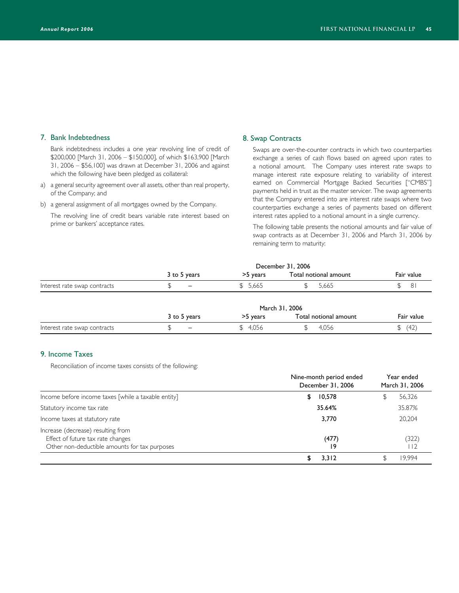### 7. Bank Indebtedness

Bank indebtedness includes a one year revolving line of credit of \$200,000 [March 31, 2006 – \$150,000], of which \$163,900 [March 31, 2006 – \$56,100] was drawn at December 31, 2006 and against which the following have been pledged as collateral:

- a) a general security agreement over all assets, other than real property, of the Company; and
- b) a general assignment of all mortgages owned by the Company.

The revolving line of credit bears variable rate interest based on prime or bankers' acceptance rates.

#### 8. Swap Contracts

Swaps are over-the-counter contracts in which two counterparties exchange a series of cash flows based on agreed upon rates to a notional amount. The Company uses interest rate swaps to manage interest rate exposure relating to variability of interest earned on Commercial Mortgage Backed Securities ["CMBS"] payments held in trust as the master servicer. The swap agreements that the Company entered into are interest rate swaps where two counterparties exchange a series of payments based on different interest rates applied to a notional amount in a single currency.

The following table presents the notional amounts and fair value of swap contracts as at December 31, 2006 and March 31, 2006 by remaining term to maturity:

|                              | December 31, 2006        |          |            |  |  |  |  |  |
|------------------------------|--------------------------|----------|------------|--|--|--|--|--|
|                              | 3 to 5 years             | >5 years | Fair value |  |  |  |  |  |
| Interest rate swap contracts | $\overline{\phantom{a}}$ | \$5.665  | 5.665      |  |  |  |  |  |
|                              |                          |          |            |  |  |  |  |  |

|                              |                          | March 31, 2006 |                       |            |  |  |  |  |  |
|------------------------------|--------------------------|----------------|-----------------------|------------|--|--|--|--|--|
|                              | 3 to 5 years             | >5 years       | Total notional amount | Fair value |  |  |  |  |  |
| Interest rate swap contracts | $\overline{\phantom{m}}$ | 4.056          | 4,056                 | (42,       |  |  |  |  |  |

## 9. Income Taxes

Reconciliation of income taxes consists of the following:

|                                                                                                                          | Nine-month period ended<br>December 31, 2006 | Year ended<br>March 31, 2006 |  |  |
|--------------------------------------------------------------------------------------------------------------------------|----------------------------------------------|------------------------------|--|--|
| Income before income taxes [while a taxable entity]                                                                      | 10,578<br>\$                                 | 56,326                       |  |  |
| Statutory income tax rate                                                                                                | 35.64%                                       | 35.87%                       |  |  |
| Income taxes at statutory rate                                                                                           | 3.770                                        | 20,204                       |  |  |
| Increase (decrease) resulting from<br>Effect of future tax rate changes<br>Other non-deductible amounts for tax purposes | (477)<br>19                                  | (322)<br>l 12                |  |  |
|                                                                                                                          | 3.312                                        | 19.994                       |  |  |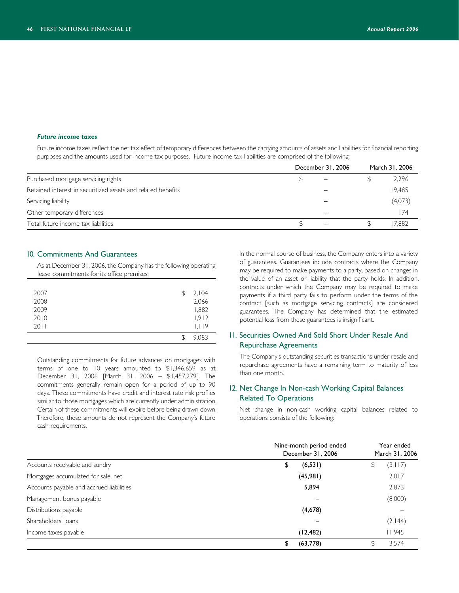#### *Future income taxes*

Future income taxes reflect the net tax effect of temporary differences between the carrying amounts of assets and liabilities for financial reporting purposes and the amounts used for income tax purposes. Future income tax liabilities are comprised of the following:

|                                                              | December 31, 2006 | March 31, 2006 |
|--------------------------------------------------------------|-------------------|----------------|
| Purchased mortgage servicing rights                          |                   | 2,296          |
| Retained interest in securitized assets and related benefits |                   | 19.485         |
| Servicing liability                                          |                   | (4,073)        |
| Other temporary differences                                  |                   | 174            |
| Total future income tax liabilities                          |                   | 17.882         |

#### 10. Commitments And Guarantees

As at December 31, 2006, the Company has the following operating lease commitments for its office premises:

| 2007<br>2008<br>2009<br>2010<br>2011 | \$<br>2,104<br>2,066<br>1,882<br>1,912<br>1.119 |
|--------------------------------------|-------------------------------------------------|
|                                      |                                                 |
|                                      | \$<br>9,083                                     |

Outstanding commitments for future advances on mortgages with terms of one to 10 years amounted to \$1,346,659 as at December 31, 2006 [March 31, 2006 – \$1,457,279]. The commitments generally remain open for a period of up to 90 days. These commitments have credit and interest rate risk profiles similar to those mortgages which are currently under administration. Certain of these commitments will expire before being drawn down. Therefore, these amounts do not represent the Company's future cash requirements.

In the normal course of business, the Company enters into a variety of guarantees. Guarantees include contracts where the Company may be required to make payments to a party, based on changes in the value of an asset or liability that the party holds. In addition, contracts under which the Company may be required to make payments if a third party fails to perform under the terms of the contract [such as mortgage servicing contracts] are considered guarantees. The Company has determined that the estimated potential loss from these guarantees is insignificant.

## 11. Securities Owned And Sold Short Under Resale And Repurchase Agreements

The Company's outstanding securities transactions under resale and repurchase agreements have a remaining term to maturity of less than one month.

## 12. Net Change In Non-cash Working Capital Balances Related To Operations

Net change in non-cash working capital balances related to operations consists of the following:

|                                          | Nine-month period ended<br>December 31, 2006 | Year ended<br>March 31, 2006 |
|------------------------------------------|----------------------------------------------|------------------------------|
| Accounts receivable and sundry           | (6, 531)<br>\$                               | \$<br>(3, 117)               |
| Mortgages accumulated for sale, net      | (45,981)                                     | 2,017                        |
| Accounts payable and accrued liabilities | 5,894                                        | 2,873                        |
| Management bonus payable                 |                                              | (8,000)                      |
| Distributions payable                    | (4,678)                                      |                              |
| Shareholders' loans                      |                                              | (2, 144)                     |
| Income taxes payable                     | (12, 482)                                    | 11,945                       |
|                                          | (63,778)<br>\$                               | \$<br>3.574                  |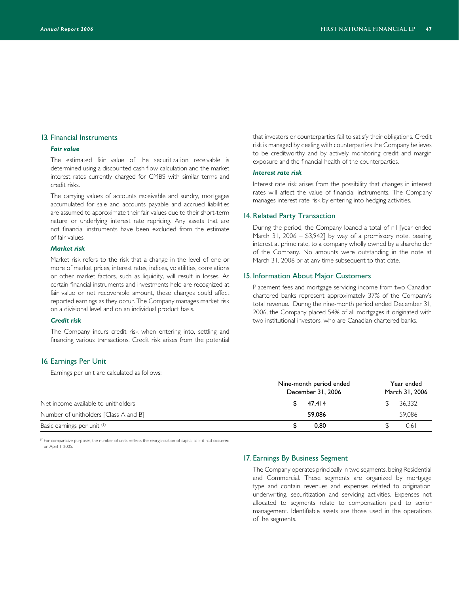#### 13. Financial Instruments

#### *Fair value*

The estimated fair value of the securitization receivable is determined using a discounted cash flow calculation and the market interest rates currently charged for CMBS with similar terms and credit risks.

The carrying values of accounts receivable and sundry, mortgages accumulated for sale and accounts payable and accrued liabilities are assumed to approximate their fair values due to their short-term nature or underlying interest rate repricing. Any assets that are not financial instruments have been excluded from the estimate of fair values.

#### *Market risk*

Market risk refers to the risk that a change in the level of one or more of market prices, interest rates, indices, volatilities, correlations or other market factors, such as liquidity, will result in losses. As certain financial instruments and investments held are recognized at fair value or net recoverable amount, these changes could affect reported earnings as they occur. The Company manages market risk on a divisional level and on an individual product basis.

#### *Credit risk*

The Company incurs credit risk when entering into, settling and financing various transactions. Credit risk arises from the potential

#### 16. Earnings Per Unit

Earnings per unit are calculated as follows:

that investors or counterparties fail to satisfy their obligations. Credit risk is managed by dealing with counterparties the Company believes to be creditworthy and by actively monitoring credit and margin exposure and the financial health of the counterparties.

#### *Interest rate risk*

Interest rate risk arises from the possibility that changes in interest rates will affect the value of financial instruments. The Company manages interest rate risk by entering into hedging activities.

#### 14. Related Party Transaction

During the period, the Company loaned a total of nil [year ended March 31, 2006 – \$3,942] by way of a promissory note, bearing interest at prime rate, to a company wholly owned by a shareholder of the Company. No amounts were outstanding in the note at March 31, 2006 or at any time subsequent to that date.

#### 15. Information About Major Customers

Placement fees and mortgage servicing income from two Canadian chartered banks represent approximately 37% of the Company's total revenue. During the nine-month period ended December 31, 2006, the Company placed 54% of all mortgages it originated with two institutional investors, who are Canadian chartered banks.

|                                       | Nine-month period ended<br>December 31, 2006 | Year ended<br>March 31, 2006 |
|---------------------------------------|----------------------------------------------|------------------------------|
| Net income available to unitholders   | 47.414                                       | 36.332                       |
| Number of unitholders [Class A and B] | 59,086                                       | 59.086                       |
| Basic earnings per unit (1)           | 0.80                                         | 0.61                         |

[1] For comparative purposes, the number of units reflects the reorganization of capital as if it had occurred on April 1, 2005.

#### 17. Earnings By Business Segment

The Company operates principally in two segments, being Residential and Commercial. These segments are organized by mortgage type and contain revenues and expenses related to origination, underwriting, securitization and servicing activities. Expenses not allocated to segments relate to compensation paid to senior management. Identifiable assets are those used in the operations of the segments.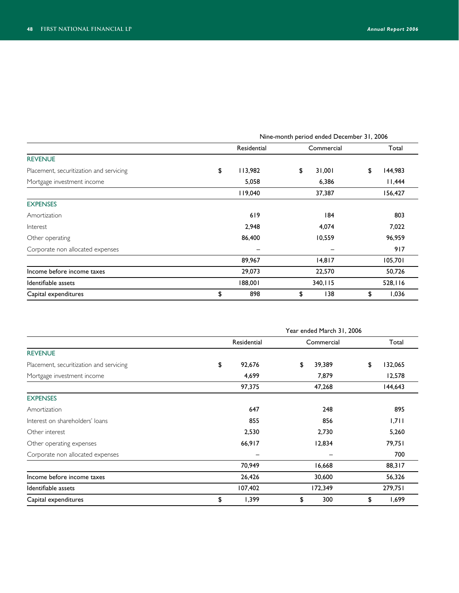|                                         | Nine-month period ended December 31, 2006 |    |            |    |         |
|-----------------------------------------|-------------------------------------------|----|------------|----|---------|
|                                         | Residential                               |    | Commercial |    | Total   |
| <b>REVENUE</b>                          |                                           |    |            |    |         |
| Placement, securitization and servicing | 113,982<br>\$                             | \$ | 31,001     | \$ | 144,983 |
| Mortgage investment income              | 5,058                                     |    | 6,386      |    | 11,444  |
|                                         | 119,040                                   |    | 37,387     |    | 156,427 |
| <b>EXPENSES</b>                         |                                           |    |            |    |         |
| Amortization                            | 619                                       |    | 184        |    | 803     |
| Interest                                | 2,948                                     |    | 4,074      |    | 7,022   |
| Other operating                         | 86,400                                    |    | 10,559     |    | 96,959  |
| Corporate non allocated expenses        |                                           |    |            |    | 917     |
|                                         | 89,967                                    |    | 14,817     |    | 105,701 |
| Income before income taxes              | 29,073                                    |    | 22,570     |    | 50,726  |
| Identifiable assets                     | 188,001                                   |    | 340, I I 5 |    | 528,116 |
| Capital expenditures                    | \$<br>898                                 | \$ | 138        | \$ | 1,036   |

|                                         | Year ended March 31, 2006 |              |               |  |
|-----------------------------------------|---------------------------|--------------|---------------|--|
|                                         | Residential               | Commercial   | Total         |  |
| <b>REVENUE</b>                          |                           |              |               |  |
| Placement, securitization and servicing | \$<br>92,676              | \$<br>39,389 | 132,065<br>\$ |  |
| Mortgage investment income              | 4,699                     | 7,879        | 12,578        |  |
|                                         | 97,375                    | 47,268       | 144,643       |  |
| <b>EXPENSES</b>                         |                           |              |               |  |
| Amortization                            | 647                       | 248          | 895           |  |
| Interest on shareholders' loans         | 855                       | 856          | 1,711         |  |
| Other interest                          | 2,530                     | 2,730        | 5,260         |  |
| Other operating expenses                | 66,917                    | 12,834       | 79,751        |  |
| Corporate non allocated expenses        |                           |              | 700           |  |
|                                         | 70,949                    | 16,668       | 88,317        |  |
| Income before income taxes              | 26,426                    | 30,600       | 56,326        |  |
| Identifiable assets                     | 107,402                   | 172,349      | 279,751       |  |
| Capital expenditures                    | 1,399<br>\$               | \$<br>300    | \$<br>1,699   |  |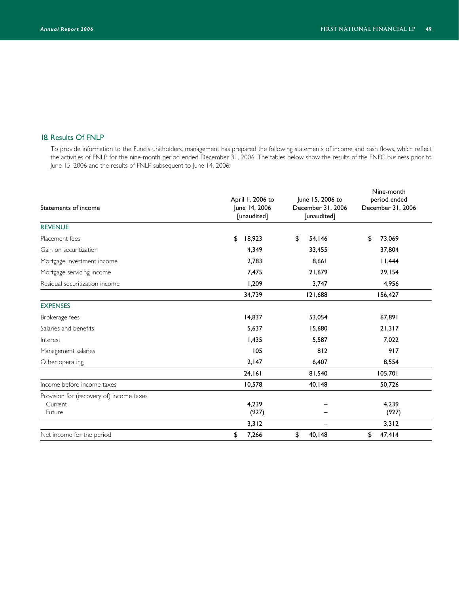### 18. Results Of FNLP

To provide information to the Fund's unitholders, management has prepared the following statements of income and cash flows, which reflect the activities of FNLP for the nine-month period ended December 31, 2006. The tables below show the results of the FNFC business prior to June 15, 2006 and the results of FNLP subsequent to June 14, 2006:

| Statements of income                     | April 1, 2006 to<br>June 14, 2006<br>[unaudited] | June 15, 2006 to<br>December 31, 2006<br>[unaudited] | Nine-month<br>period ended<br>December 31, 2006 |  |
|------------------------------------------|--------------------------------------------------|------------------------------------------------------|-------------------------------------------------|--|
| <b>REVENUE</b>                           |                                                  |                                                      |                                                 |  |
| Placement fees                           | 18,923<br>\$                                     | 54,146<br>\$                                         | 73,069<br>\$                                    |  |
| Gain on securitization                   | 4,349                                            | 33,455                                               | 37,804                                          |  |
| Mortgage investment income               | 2,783                                            | 8,661                                                | 11,444                                          |  |
| Mortgage servicing income                | 7,475                                            | 21,679                                               | 29,154                                          |  |
| Residual securitization income           | 1,209                                            | 3,747                                                | 4,956                                           |  |
|                                          | 34,739                                           | 121,688                                              | 156,427                                         |  |
| <b>EXPENSES</b>                          |                                                  |                                                      |                                                 |  |
| Brokerage fees                           | 14,837                                           | 53,054                                               | 67,891                                          |  |
| Salaries and benefits                    | 5,637                                            | 15,680                                               | 21,317                                          |  |
| Interest                                 | 1,435                                            | 5,587                                                | 7,022                                           |  |
| Management salaries                      | 105                                              | 812                                                  | 917                                             |  |
| Other operating                          | 2,147                                            | 6,407                                                | 8,554                                           |  |
|                                          | 24,161                                           | 81,540                                               | 105,701                                         |  |
| Income before income taxes               | 10,578                                           | 40,148                                               | 50,726                                          |  |
| Provision for (recovery of) income taxes |                                                  |                                                      |                                                 |  |
| Current                                  | 4,239                                            |                                                      | 4,239                                           |  |
| Future                                   | (927)                                            | -                                                    | (927)                                           |  |
|                                          | 3,312                                            |                                                      | 3,312                                           |  |
| Net income for the period                | 7,266<br>\$                                      | \$<br>40,148                                         | 47,414<br>\$                                    |  |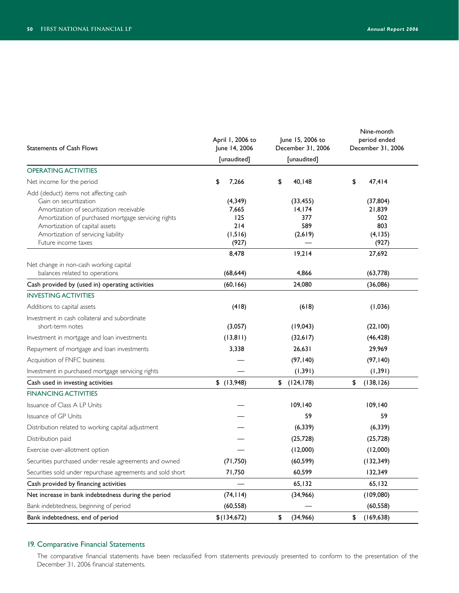| <b>Statements of Cash Flows</b>                                                                                                                                                                                                                                     | April 1, 2006 to<br>June 14, 2006                   | June 15, 2006 to<br>December 31, 2006         | Nine-month<br>period ended<br>December 31, 2006        |  |
|---------------------------------------------------------------------------------------------------------------------------------------------------------------------------------------------------------------------------------------------------------------------|-----------------------------------------------------|-----------------------------------------------|--------------------------------------------------------|--|
|                                                                                                                                                                                                                                                                     | [unaudited]                                         | [unaudited]                                   |                                                        |  |
| <b>OPERATING ACTIVITIES</b>                                                                                                                                                                                                                                         |                                                     |                                               |                                                        |  |
| Net income for the period                                                                                                                                                                                                                                           | 7,266<br>\$                                         | 40.148<br>\$                                  | 47,414<br>\$                                           |  |
| Add (deduct) items not affecting cash<br>Gain on securitization<br>Amortization of securitization receivable<br>Amortization of purchased mortgage servicing rights<br>Amortization of capital assets<br>Amortization of servicing liability<br>Future income taxes | (4,349)<br>7,665<br>125<br>214<br>(1, 516)<br>(927) | (33, 455)<br>14, 174<br>377<br>589<br>(2,619) | (37, 804)<br>21,839<br>502<br>803<br>(4, 135)<br>(927) |  |
|                                                                                                                                                                                                                                                                     | 8,478                                               | 19,214                                        | 27,692                                                 |  |
| Net change in non-cash working capital<br>balances related to operations                                                                                                                                                                                            | (68, 644)                                           | 4,866                                         | (63,778)                                               |  |
| Cash provided by (used in) operating activities                                                                                                                                                                                                                     | (60, 166)                                           | 24,080                                        | (36,086)                                               |  |
| <b>INVESTING ACTIVITIES</b>                                                                                                                                                                                                                                         |                                                     |                                               |                                                        |  |
| Additions to capital assets                                                                                                                                                                                                                                         | (418)                                               | (618)                                         | (1,036)                                                |  |
| Investment in cash collateral and subordinate<br>short-term notes                                                                                                                                                                                                   | (3,057)                                             | (19,043)                                      | (22, 100)                                              |  |
| Investment in mortgage and loan investments                                                                                                                                                                                                                         | (13, 811)                                           | (32, 617)                                     | (46, 428)                                              |  |
| Repayment of mortgage and loan investments                                                                                                                                                                                                                          | 3,338                                               | 26,631                                        | 29,969                                                 |  |
| Acquisition of FNFC business                                                                                                                                                                                                                                        |                                                     | (97, 140)                                     | (97, 140)                                              |  |
| Investment in purchased mortgage servicing rights                                                                                                                                                                                                                   |                                                     | (1, 391)                                      | (1, 391)                                               |  |
| Cash used in investing activities                                                                                                                                                                                                                                   | $$$ (13,948)                                        | (124, 178)<br>\$                              | (138, 126)<br>\$                                       |  |
| <b>FINANCING ACTIVITIES</b>                                                                                                                                                                                                                                         |                                                     |                                               |                                                        |  |
| Issuance of Class A LP Units                                                                                                                                                                                                                                        |                                                     | 109,140                                       | 109,140                                                |  |
| Issuance of GP Units                                                                                                                                                                                                                                                |                                                     | 59                                            | 59                                                     |  |
| Distribution related to working capital adjustment                                                                                                                                                                                                                  |                                                     | (6, 339)                                      | (6, 339)                                               |  |
| Distribution paid                                                                                                                                                                                                                                                   |                                                     | (25, 728)                                     | (25, 728)                                              |  |
| Exercise over-allotment option                                                                                                                                                                                                                                      |                                                     | (12,000)                                      | (12,000)                                               |  |
| Securities purchased under resale agreements and owned                                                                                                                                                                                                              | (71, 750)                                           | (60, 599)                                     | (132, 349)                                             |  |
| Securities sold under repurchase agreements and sold short                                                                                                                                                                                                          | 71,750                                              | 60,599                                        | 132,349                                                |  |
| Cash provided by financing activities                                                                                                                                                                                                                               |                                                     | 65,132                                        | 65,132                                                 |  |
| Net increase in bank indebtedness during the period                                                                                                                                                                                                                 | (74, 114)                                           | (34, 966)                                     | (109,080)                                              |  |
| Bank indebtedness, beginning of period                                                                                                                                                                                                                              | (60, 558)                                           |                                               | (60, 558)                                              |  |
| Bank indebtedness, end of period                                                                                                                                                                                                                                    | \$(134,672)                                         | (34,966)<br>\$                                | (169, 638)<br>\$                                       |  |

## 19. Comparative Financial Statements

The comparative financial statements have been reclassified from statements previously presented to conform to the presentation of the December 31, 2006 financial statements.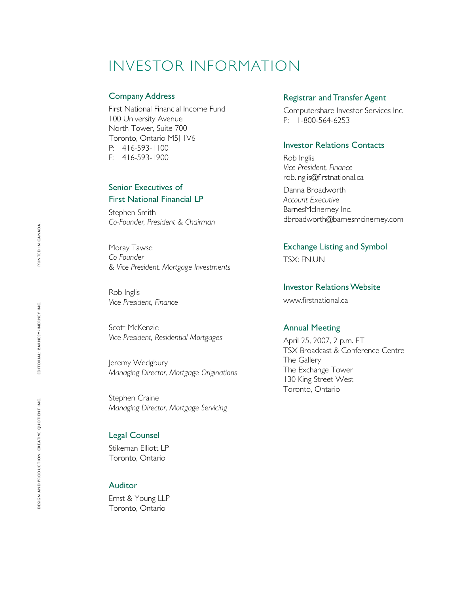# INVESTOR INFORMATION

## Company Address

First National Financial Income Fund 100 University Avenue North Tower, Suite 700 Toronto, Ontario M5J 1V6 P: 416-593-1100 F: 416-593-1900

## Senior Executives of First National Financial LP

Stephen Smith *Co-Founder, President & Chairman*

Moray Tawse *Co-Founder & Vice President, Mortgage Investments*

Rob Inglis *Vice President, Finance*

Scott McKenzie *Vice President, Residential Mortgages*

Jeremy Wedgbury *Managing Director, Mortgage Originations*

Stephen Craine *Managing Director, Mortgage Servicing*

## Legal Counsel

Stikeman Elliott LP Toronto, Ontario

## Auditor

Ernst & Young LLP Toronto, Ontario

## Registrar and Transfer Agent

Computershare Investor Services Inc. P: 1-800-564-6253

## Investor Relations Contacts

Rob Inglis *Vice President, Finance*  rob.inglis@firstnational.ca

Danna Broadworth *Account Executive* BarnesMcInerney Inc. dbroadworth@barnesmcinerney.com

Exchange Listing and Symbol

TSX: FN.UN

## Investor Relations Website

www.firstnational.ca

### Annual Meeting

April 25, 2007, 2 p.m. ET TSX Broadcast & Conference Centre The Gallery The Exchange Tower 130 King Street West Toronto, Ontario